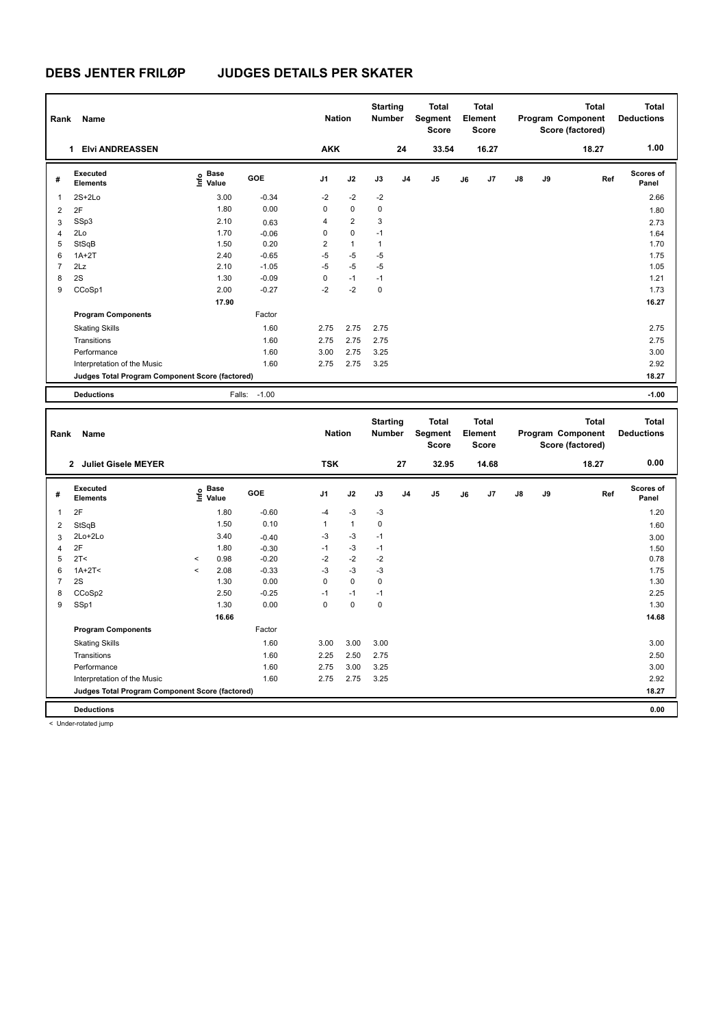| Rank           | Name                                            |                             |         | <b>Nation</b>  |                | <b>Starting</b><br><b>Number</b> |                | <b>Total</b><br>Segment<br><b>Score</b> |    | <b>Total</b><br>Element<br>Score        |    |    | <b>Total</b><br>Program Component<br>Score (factored) | <b>Total</b><br><b>Deductions</b> |
|----------------|-------------------------------------------------|-----------------------------|---------|----------------|----------------|----------------------------------|----------------|-----------------------------------------|----|-----------------------------------------|----|----|-------------------------------------------------------|-----------------------------------|
|                | 1 Elvi ANDREASSEN                               |                             |         | <b>AKK</b>     |                |                                  | 24             | 33.54                                   |    | 16.27                                   |    |    | 18.27                                                 | 1.00                              |
| #              | <b>Executed</b><br><b>Elements</b>              | Base<br>e Base<br>⊆ Value   | GOE     | J1             | J2             | J3                               | J <sub>4</sub> | J5                                      | J6 | J7                                      | J8 | J9 | Ref                                                   | Scores of<br>Panel                |
| 1              | $2S+2Lo$                                        | 3.00                        | $-0.34$ | $-2$           | $-2$           | $-2$                             |                |                                         |    |                                         |    |    |                                                       | 2.66                              |
| $\overline{2}$ | 2F                                              | 1.80                        | 0.00    | $\mathbf 0$    | $\pmb{0}$      | $\mathbf 0$                      |                |                                         |    |                                         |    |    |                                                       | 1.80                              |
| 3              | SSp3                                            | 2.10                        | 0.63    | $\overline{4}$ | $\overline{2}$ | 3                                |                |                                         |    |                                         |    |    |                                                       | 2.73                              |
| $\overline{4}$ | 2Lo                                             | 1.70                        | $-0.06$ | 0              | $\pmb{0}$      | $-1$                             |                |                                         |    |                                         |    |    |                                                       | 1.64                              |
| 5              | StSqB                                           | 1.50                        | 0.20    | $\overline{2}$ | $\mathbf{1}$   | $\mathbf{1}$                     |                |                                         |    |                                         |    |    |                                                       | 1.70                              |
| 6              | $1A+2T$                                         | 2.40                        | $-0.65$ | $-5$           | $-5$           | $-5$                             |                |                                         |    |                                         |    |    |                                                       | 1.75                              |
| $\overline{7}$ | 2Lz                                             | 2.10                        | $-1.05$ | $-5$           | $-5$           | $-5$                             |                |                                         |    |                                         |    |    |                                                       | 1.05                              |
| 8              | 2S                                              | 1.30                        | $-0.09$ | $\mathbf 0$    | $-1$           | $-1$                             |                |                                         |    |                                         |    |    |                                                       | 1.21                              |
| 9              | CCoSp1                                          | 2.00                        | $-0.27$ | $-2$           | $-2$           | $\mathbf 0$                      |                |                                         |    |                                         |    |    |                                                       | 1.73                              |
|                |                                                 | 17.90                       |         |                |                |                                  |                |                                         |    |                                         |    |    |                                                       | 16.27                             |
|                | <b>Program Components</b>                       |                             | Factor  |                |                |                                  |                |                                         |    |                                         |    |    |                                                       |                                   |
|                | <b>Skating Skills</b>                           |                             | 1.60    | 2.75           | 2.75           | 2.75                             |                |                                         |    |                                         |    |    |                                                       | 2.75                              |
|                | Transitions                                     |                             | 1.60    | 2.75           | 2.75           | 2.75                             |                |                                         |    |                                         |    |    |                                                       | 2.75                              |
|                | Performance                                     |                             | 1.60    | 3.00           | 2.75           | 3.25                             |                |                                         |    |                                         |    |    |                                                       | 3.00                              |
|                | Interpretation of the Music                     |                             | 1.60    | 2.75           | 2.75           | 3.25                             |                |                                         |    |                                         |    |    |                                                       | 2.92                              |
|                | Judges Total Program Component Score (factored) |                             |         |                |                |                                  |                |                                         |    |                                         |    |    |                                                       | 18.27                             |
|                |                                                 |                             |         |                |                |                                  |                |                                         |    |                                         |    |    |                                                       |                                   |
|                | <b>Deductions</b>                               | Falls:                      | $-1.00$ |                |                |                                  |                |                                         |    |                                         |    |    |                                                       | $-1.00$                           |
| Rank           | Name                                            |                             |         | <b>Nation</b>  |                | <b>Starting</b><br><b>Number</b> |                | <b>Total</b><br>Segment<br>Score        |    | <b>Total</b><br>Element<br><b>Score</b> |    |    | <b>Total</b><br>Program Component<br>Score (factored) | <b>Total</b><br><b>Deductions</b> |
|                | 2 Juliet Gisele MEYER                           |                             |         | <b>TSK</b>     |                |                                  | 27             | 32.95                                   |    | 14.68                                   |    |    | 18.27                                                 | 0.00                              |
| #              | <b>Executed</b><br><b>Elements</b>              | Base<br>۴ů<br>Value         | GOE     | J1             | J2             | J3                               | J <sub>4</sub> | J5                                      | J6 | J7                                      | J8 | J9 | Ref                                                   | Scores of<br>Panel                |
| $\mathbf{1}$   | 2F                                              | 1.80                        | $-0.60$ | $-4$           | $-3$           | $-3$                             |                |                                         |    |                                         |    |    |                                                       | 1.20                              |
| 2              | StSqB                                           | 1.50                        | 0.10    | $\mathbf{1}$   | $\mathbf{1}$   | 0                                |                |                                         |    |                                         |    |    |                                                       | 1.60                              |
| 3              | 2Lo+2Lo                                         | 3.40                        | $-0.40$ | $-3$           | $-3$           | $-1$                             |                |                                         |    |                                         |    |    |                                                       | 3.00                              |
| $\overline{4}$ | 2F                                              | 1.80                        | $-0.30$ | $-1$           | $-3$           | $-1$                             |                |                                         |    |                                         |    |    |                                                       | 1.50                              |
| 5              | 2T <                                            | 0.98<br>$\hat{\phantom{a}}$ | $-0.20$ | $-2$           | $-2$           | $-2$                             |                |                                         |    |                                         |    |    |                                                       | 0.78                              |

6 1A+2T<  $\leq$  2.08 -0.33 -3 -3 -3 -3 -3 -4 -3 -4 -5 -5 -6 -6 -1.75 2S 1.30 0.00 0 0 0 1.30 CCoSp2 2.50 -0.25 -1 -1 -1 2.25 SSp1 1.30 0.00 0 0 0 1.30

Skating Skills 3.00 3.00 3.00 1.60 3.00

Transitions 2.50 2.60 2.25 2.50 2.75 2.50 2.75 2.50 2.75 2.50 2.75 2.50 2.75 2.50 2.75 2.50 2.75 2.50 2.75 2.50 2.75 2.50 2.75 2.50 2.75 2.50 2.75 2.50 2.75 2.50 2.75 2.50 2.75 2.75 2.50 2.75 2.50 2.75 2.75 2.75 2.75 2.75 Performance 1.60 2.75 3.00 3.25 3.00

**Judges Total Program Component Score (factored) 18.27**

Factor

 **16.66 14.68**

**Deductions 0.00**

**Program Components** 

Interpretation of the Music 1.60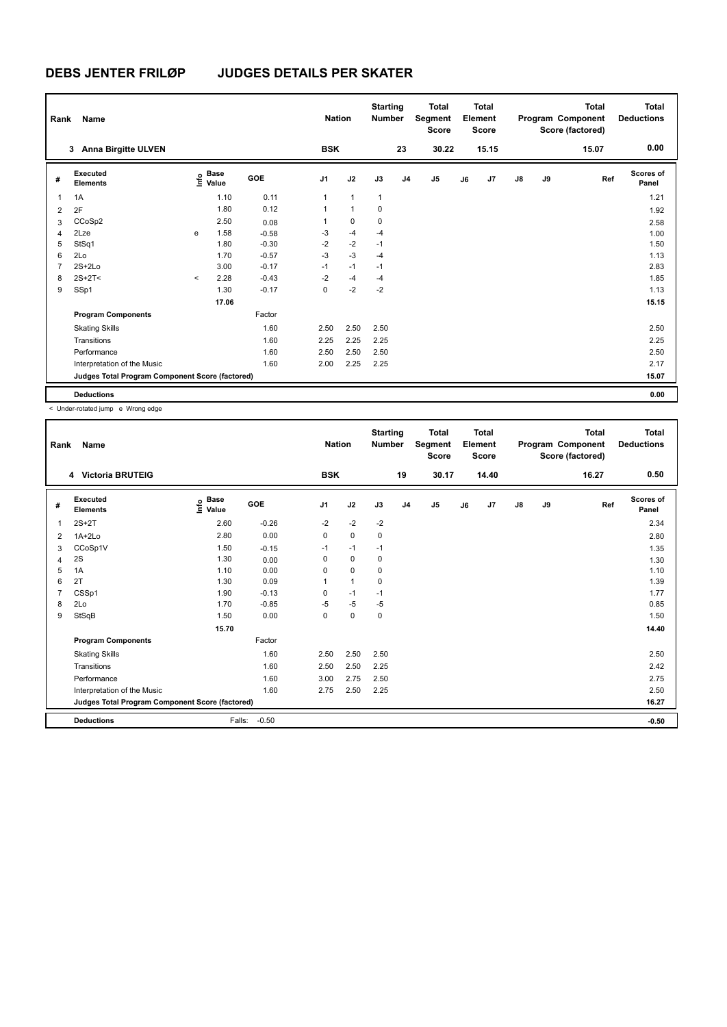| Rank           | Name                                            |         |                      |            | <b>Nation</b>  |              | <b>Starting</b><br><b>Number</b> |                | <b>Total</b><br>Segment<br><b>Score</b> |    | <b>Total</b><br>Element<br><b>Score</b> |               |    | Total<br>Program Component<br>Score (factored) | <b>Total</b><br><b>Deductions</b> |
|----------------|-------------------------------------------------|---------|----------------------|------------|----------------|--------------|----------------------------------|----------------|-----------------------------------------|----|-----------------------------------------|---------------|----|------------------------------------------------|-----------------------------------|
|                | <b>Anna Birgitte ULVEN</b><br>3                 |         |                      |            | <b>BSK</b>     |              |                                  | 23             | 30.22                                   |    | 15.15                                   |               |    | 15.07                                          | 0.00                              |
| #              | Executed<br><b>Elements</b>                     | ۴٥      | <b>Base</b><br>Value | <b>GOE</b> | J <sub>1</sub> | J2           | J3                               | J <sub>4</sub> | J5                                      | J6 | J <sub>7</sub>                          | $\mathsf{J}8$ | J9 | Ref                                            | Scores of<br>Panel                |
| $\overline{1}$ | 1A                                              |         | 1.10                 | 0.11       | 1              | $\mathbf{1}$ | $\mathbf{1}$                     |                |                                         |    |                                         |               |    |                                                | 1.21                              |
| $\overline{2}$ | 2F                                              |         | 1.80                 | 0.12       | $\mathbf{1}$   | $\mathbf{1}$ | $\mathbf 0$                      |                |                                         |    |                                         |               |    |                                                | 1.92                              |
| 3              | CCoSp2                                          |         | 2.50                 | 0.08       | 1              | $\mathbf 0$  | 0                                |                |                                         |    |                                         |               |    |                                                | 2.58                              |
| $\overline{4}$ | 2Lze                                            | e       | 1.58                 | $-0.58$    | $-3$           | $-4$         | $-4$                             |                |                                         |    |                                         |               |    |                                                | 1.00                              |
| 5              | StSq1                                           |         | 1.80                 | $-0.30$    | $-2$           | $-2$         | $-1$                             |                |                                         |    |                                         |               |    |                                                | 1.50                              |
| 6              | 2Lo                                             |         | 1.70                 | $-0.57$    | $-3$           | $-3$         | $-4$                             |                |                                         |    |                                         |               |    |                                                | 1.13                              |
| $\overline{7}$ | $2S+2Lo$                                        |         | 3.00                 | $-0.17$    | $-1$           | $-1$         | $-1$                             |                |                                         |    |                                         |               |    |                                                | 2.83                              |
| 8              | $2S+2T2$                                        | $\prec$ | 2.28                 | $-0.43$    | $-2$           | $-4$         | $-4$                             |                |                                         |    |                                         |               |    |                                                | 1.85                              |
| 9              | SSp1                                            |         | 1.30                 | $-0.17$    | 0              | $-2$         | $-2$                             |                |                                         |    |                                         |               |    |                                                | 1.13                              |
|                |                                                 |         | 17.06                |            |                |              |                                  |                |                                         |    |                                         |               |    |                                                | 15.15                             |
|                | <b>Program Components</b>                       |         |                      | Factor     |                |              |                                  |                |                                         |    |                                         |               |    |                                                |                                   |
|                | <b>Skating Skills</b>                           |         |                      | 1.60       | 2.50           | 2.50         | 2.50                             |                |                                         |    |                                         |               |    |                                                | 2.50                              |
|                | Transitions                                     |         |                      | 1.60       | 2.25           | 2.25         | 2.25                             |                |                                         |    |                                         |               |    |                                                | 2.25                              |
|                | Performance                                     |         |                      | 1.60       | 2.50           | 2.50         | 2.50                             |                |                                         |    |                                         |               |    |                                                | 2.50                              |
|                | Interpretation of the Music                     |         |                      | 1.60       | 2.00           | 2.25         | 2.25                             |                |                                         |    |                                         |               |    |                                                | 2.17                              |
|                | Judges Total Program Component Score (factored) |         |                      |            |                |              |                                  |                |                                         |    |                                         |               |    |                                                | 15.07                             |
|                | <b>Deductions</b>                               |         |                      |            |                |              |                                  |                |                                         |    |                                         |               |    |                                                | 0.00                              |

< Under-rotated jump e Wrong edge

| Rank | <b>Name</b>                                     |                                  |            | <b>Nation</b>  |              | <b>Starting</b><br><b>Number</b> |                | <b>Total</b><br>Segment<br><b>Score</b> |    | <b>Total</b><br>Element<br><b>Score</b> |               |    | <b>Total</b><br>Program Component<br>Score (factored) | <b>Total</b><br><b>Deductions</b> |
|------|-------------------------------------------------|----------------------------------|------------|----------------|--------------|----------------------------------|----------------|-----------------------------------------|----|-----------------------------------------|---------------|----|-------------------------------------------------------|-----------------------------------|
|      | 4 Victoria BRUTEIG                              |                                  |            | <b>BSK</b>     |              |                                  | 19             | 30.17                                   |    | 14.40                                   |               |    | 16.27                                                 | 0.50                              |
| #    | Executed<br><b>Elements</b>                     | <b>Base</b><br>e Base<br>⊆ Value | <b>GOE</b> | J <sub>1</sub> | J2           | J3                               | J <sub>4</sub> | J5                                      | J6 | J7                                      | $\mathsf{J}8$ | J9 | Ref                                                   | <b>Scores of</b><br>Panel         |
| 1    | $2S+2T$                                         | 2.60                             | $-0.26$    | $-2$           | $-2$         | $-2$                             |                |                                         |    |                                         |               |    |                                                       | 2.34                              |
| 2    | $1A+2Lo$                                        | 2.80                             | 0.00       | 0              | 0            | 0                                |                |                                         |    |                                         |               |    |                                                       | 2.80                              |
| 3    | CCoSp1V                                         | 1.50                             | $-0.15$    | $-1$           | $-1$         | $-1$                             |                |                                         |    |                                         |               |    |                                                       | 1.35                              |
| 4    | 2S                                              | 1.30                             | 0.00       | 0              | $\mathbf 0$  | 0                                |                |                                         |    |                                         |               |    |                                                       | 1.30                              |
| 5    | 1A                                              | 1.10                             | 0.00       | 0              | 0            | 0                                |                |                                         |    |                                         |               |    |                                                       | 1.10                              |
| 6    | 2T                                              | 1.30                             | 0.09       | 1              | $\mathbf{1}$ | $\mathbf 0$                      |                |                                         |    |                                         |               |    |                                                       | 1.39                              |
| 7    | CSSp1                                           | 1.90                             | $-0.13$    | 0              | $-1$         | $-1$                             |                |                                         |    |                                         |               |    |                                                       | 1.77                              |
| 8    | 2Lo                                             | 1.70                             | $-0.85$    | $-5$           | $-5$         | $-5$                             |                |                                         |    |                                         |               |    |                                                       | 0.85                              |
| 9    | StSqB                                           | 1.50                             | 0.00       | $\Omega$       | $\mathbf 0$  | 0                                |                |                                         |    |                                         |               |    |                                                       | 1.50                              |
|      |                                                 | 15.70                            |            |                |              |                                  |                |                                         |    |                                         |               |    |                                                       | 14.40                             |
|      | <b>Program Components</b>                       |                                  | Factor     |                |              |                                  |                |                                         |    |                                         |               |    |                                                       |                                   |
|      | <b>Skating Skills</b>                           |                                  | 1.60       | 2.50           | 2.50         | 2.50                             |                |                                         |    |                                         |               |    |                                                       | 2.50                              |
|      | Transitions                                     |                                  | 1.60       | 2.50           | 2.50         | 2.25                             |                |                                         |    |                                         |               |    |                                                       | 2.42                              |
|      | Performance                                     |                                  | 1.60       | 3.00           | 2.75         | 2.50                             |                |                                         |    |                                         |               |    |                                                       | 2.75                              |
|      | Interpretation of the Music                     |                                  | 1.60       | 2.75           | 2.50         | 2.25                             |                |                                         |    |                                         |               |    |                                                       | 2.50                              |
|      | Judges Total Program Component Score (factored) |                                  |            |                |              |                                  |                |                                         |    |                                         |               |    |                                                       | 16.27                             |
|      | <b>Deductions</b>                               | Falls:                           | $-0.50$    |                |              |                                  |                |                                         |    |                                         |               |    |                                                       | $-0.50$                           |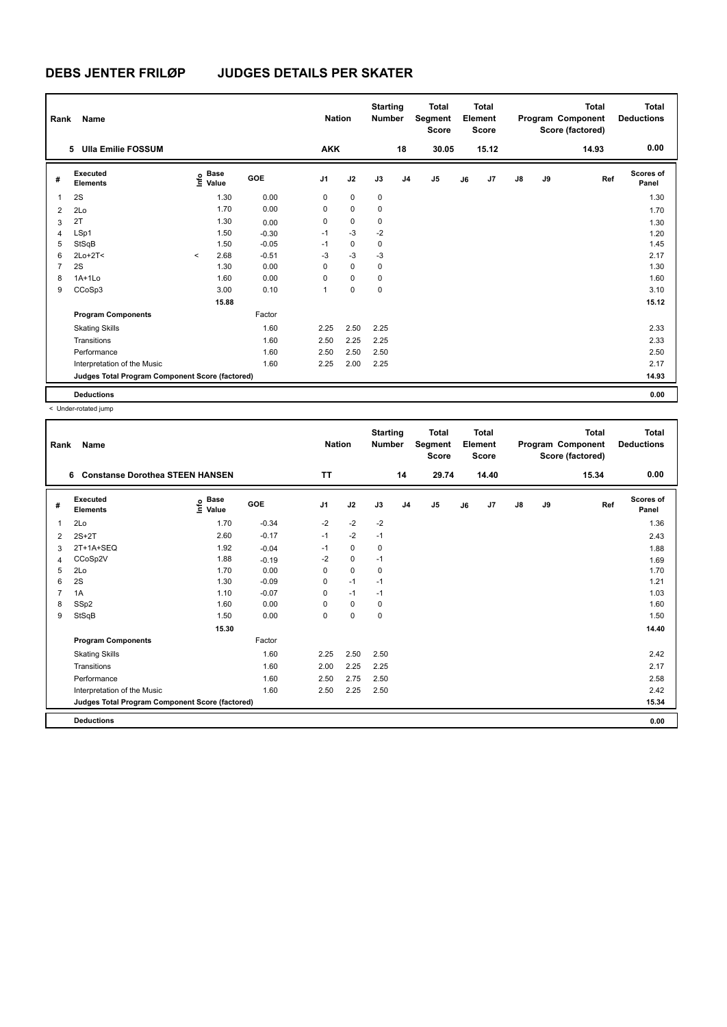| Rank           | Name                                            |         |                                  |         | <b>Nation</b> |             | <b>Starting</b><br><b>Number</b> |                | <b>Total</b><br>Segment<br><b>Score</b> |    | <b>Total</b><br>Element<br><b>Score</b> |    |    | <b>Total</b><br>Program Component<br>Score (factored) | <b>Total</b><br><b>Deductions</b> |
|----------------|-------------------------------------------------|---------|----------------------------------|---------|---------------|-------------|----------------------------------|----------------|-----------------------------------------|----|-----------------------------------------|----|----|-------------------------------------------------------|-----------------------------------|
|                | 5 Ulla Emilie FOSSUM                            |         |                                  |         | <b>AKK</b>    |             |                                  | 18             | 30.05                                   |    | 15.12                                   |    |    | 14.93                                                 | 0.00                              |
| #              | <b>Executed</b><br><b>Elements</b>              |         | <b>Base</b><br>e Base<br>⊆ Value | GOE     | J1            | J2          | J3                               | J <sub>4</sub> | J <sub>5</sub>                          | J6 | J <sub>7</sub>                          | J8 | J9 | Ref                                                   | <b>Scores of</b><br>Panel         |
| 1              | 2S                                              |         | 1.30                             | 0.00    | 0             | $\mathbf 0$ | 0                                |                |                                         |    |                                         |    |    |                                                       | 1.30                              |
| 2              | 2Lo                                             |         | 1.70                             | 0.00    | 0             | $\mathbf 0$ | 0                                |                |                                         |    |                                         |    |    |                                                       | 1.70                              |
| 3              | 2T                                              |         | 1.30                             | 0.00    | 0             | $\mathbf 0$ | 0                                |                |                                         |    |                                         |    |    |                                                       | 1.30                              |
| 4              | LSp1                                            |         | 1.50                             | $-0.30$ | $-1$          | $-3$        | $-2$                             |                |                                         |    |                                         |    |    |                                                       | 1.20                              |
| 5              | StSqB                                           |         | 1.50                             | $-0.05$ | $-1$          | 0           | 0                                |                |                                         |    |                                         |    |    |                                                       | 1.45                              |
| 6              | $2Lo+2T<$                                       | $\prec$ | 2.68                             | $-0.51$ | -3            | $-3$        | $-3$                             |                |                                         |    |                                         |    |    |                                                       | 2.17                              |
| $\overline{7}$ | 2S                                              |         | 1.30                             | 0.00    | 0             | $\mathbf 0$ | 0                                |                |                                         |    |                                         |    |    |                                                       | 1.30                              |
| 8              | $1A+1Lo$                                        |         | 1.60                             | 0.00    | $\Omega$      | $\mathbf 0$ | 0                                |                |                                         |    |                                         |    |    |                                                       | 1.60                              |
| 9              | CCoSp3                                          |         | 3.00                             | 0.10    | 1             | 0           | 0                                |                |                                         |    |                                         |    |    |                                                       | 3.10                              |
|                |                                                 |         | 15.88                            |         |               |             |                                  |                |                                         |    |                                         |    |    |                                                       | 15.12                             |
|                | <b>Program Components</b>                       |         |                                  | Factor  |               |             |                                  |                |                                         |    |                                         |    |    |                                                       |                                   |
|                | <b>Skating Skills</b>                           |         |                                  | 1.60    | 2.25          | 2.50        | 2.25                             |                |                                         |    |                                         |    |    |                                                       | 2.33                              |
|                | Transitions                                     |         |                                  | 1.60    | 2.50          | 2.25        | 2.25                             |                |                                         |    |                                         |    |    |                                                       | 2.33                              |
|                | Performance                                     |         |                                  | 1.60    | 2.50          | 2.50        | 2.50                             |                |                                         |    |                                         |    |    |                                                       | 2.50                              |
|                | Interpretation of the Music                     |         |                                  | 1.60    | 2.25          | 2.00        | 2.25                             |                |                                         |    |                                         |    |    |                                                       | 2.17                              |
|                | Judges Total Program Component Score (factored) |         |                                  |         |               |             |                                  |                |                                         |    |                                         |    |    |                                                       | 14.93                             |
|                | <b>Deductions</b>                               |         |                                  |         |               |             |                                  |                |                                         |    |                                         |    |    |                                                       | 0.00                              |

| Rank | Name                                            |                                  |            | <b>Nation</b>  |             | <b>Starting</b><br><b>Number</b> |                | <b>Total</b><br>Segment<br><b>Score</b> |    | Total<br>Element<br><b>Score</b> |               |    | <b>Total</b><br>Program Component<br>Score (factored) | <b>Total</b><br><b>Deductions</b> |
|------|-------------------------------------------------|----------------------------------|------------|----------------|-------------|----------------------------------|----------------|-----------------------------------------|----|----------------------------------|---------------|----|-------------------------------------------------------|-----------------------------------|
|      | <b>Constanse Dorothea STEEN HANSEN</b><br>6     |                                  |            | <b>TT</b>      |             |                                  | 14             | 29.74                                   |    | 14.40                            |               |    | 15.34                                                 | 0.00                              |
| #    | Executed<br><b>Elements</b>                     | <b>Base</b><br>e Base<br>E Value | <b>GOE</b> | J <sub>1</sub> | J2          | J3                               | J <sub>4</sub> | J5                                      | J6 | J7                               | $\mathsf{J}8$ | J9 | Ref                                                   | Scores of<br>Panel                |
| 1    | 2Lo                                             | 1.70                             | $-0.34$    | $-2$           | $-2$        | $-2$                             |                |                                         |    |                                  |               |    |                                                       | 1.36                              |
| 2    | $2S+2T$                                         | 2.60                             | $-0.17$    | $-1$           | $-2$        | $-1$                             |                |                                         |    |                                  |               |    |                                                       | 2.43                              |
| 3    | 2T+1A+SEQ                                       | 1.92                             | $-0.04$    | $-1$           | 0           | 0                                |                |                                         |    |                                  |               |    |                                                       | 1.88                              |
| 4    | CCoSp2V                                         | 1.88                             | $-0.19$    | $-2$           | $\mathbf 0$ | $-1$                             |                |                                         |    |                                  |               |    |                                                       | 1.69                              |
| 5    | 2Lo                                             | 1.70                             | 0.00       | $\Omega$       | $\mathbf 0$ | 0                                |                |                                         |    |                                  |               |    |                                                       | 1.70                              |
| 6    | 2S                                              | 1.30                             | $-0.09$    | $\Omega$       | $-1$        | $-1$                             |                |                                         |    |                                  |               |    |                                                       | 1.21                              |
| 7    | 1A                                              | 1.10                             | $-0.07$    | 0              | $-1$        | $-1$                             |                |                                         |    |                                  |               |    |                                                       | 1.03                              |
| 8    | SSp2                                            | 1.60                             | 0.00       | $\Omega$       | 0           | 0                                |                |                                         |    |                                  |               |    |                                                       | 1.60                              |
| 9    | StSqB                                           | 1.50                             | 0.00       | $\Omega$       | $\Omega$    | $\Omega$                         |                |                                         |    |                                  |               |    |                                                       | 1.50                              |
|      |                                                 | 15.30                            |            |                |             |                                  |                |                                         |    |                                  |               |    |                                                       | 14.40                             |
|      | <b>Program Components</b>                       |                                  | Factor     |                |             |                                  |                |                                         |    |                                  |               |    |                                                       |                                   |
|      | <b>Skating Skills</b>                           |                                  | 1.60       | 2.25           | 2.50        | 2.50                             |                |                                         |    |                                  |               |    |                                                       | 2.42                              |
|      | Transitions                                     |                                  | 1.60       | 2.00           | 2.25        | 2.25                             |                |                                         |    |                                  |               |    |                                                       | 2.17                              |
|      | Performance                                     |                                  | 1.60       | 2.50           | 2.75        | 2.50                             |                |                                         |    |                                  |               |    |                                                       | 2.58                              |
|      | Interpretation of the Music                     |                                  | 1.60       | 2.50           | 2.25        | 2.50                             |                |                                         |    |                                  |               |    |                                                       | 2.42                              |
|      | Judges Total Program Component Score (factored) |                                  |            |                |             |                                  |                |                                         |    |                                  |               |    |                                                       | 15.34                             |
|      | <b>Deductions</b>                               |                                  |            |                |             |                                  |                |                                         |    |                                  |               |    |                                                       | 0.00                              |
|      |                                                 |                                  |            |                |             |                                  |                |                                         |    |                                  |               |    |                                                       |                                   |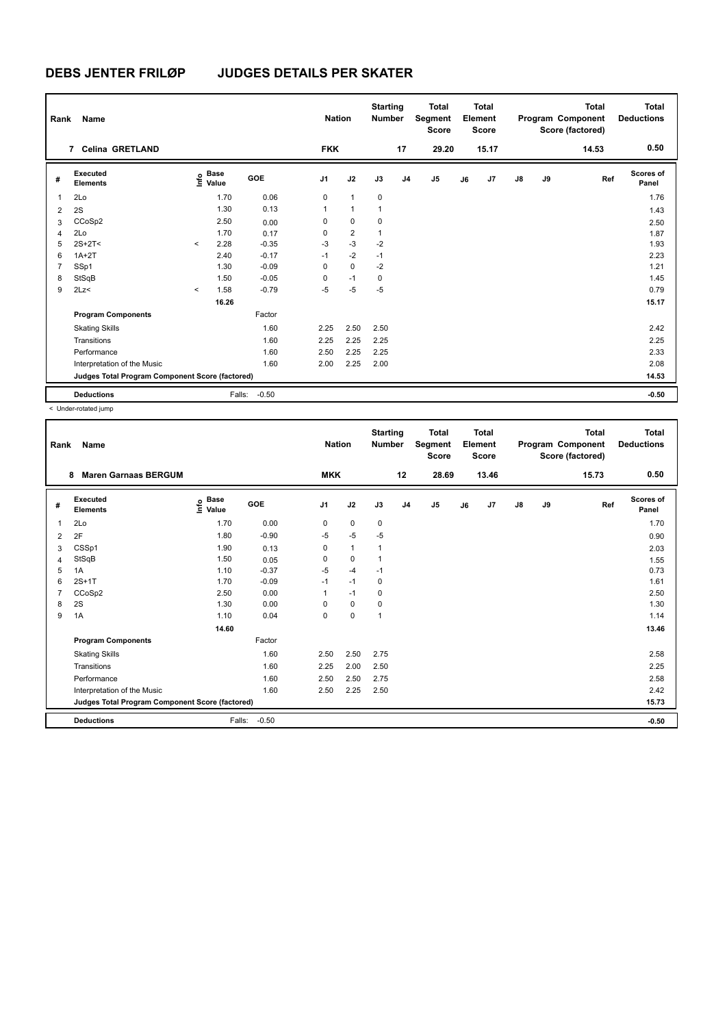| Rank           | Name                                            |         |                      |         |                | <b>Nation</b>  | <b>Starting</b><br><b>Number</b> |                | <b>Total</b><br>Segment<br><b>Score</b> |    | Total<br>Element<br><b>Score</b> |               |    | Total<br>Program Component<br>Score (factored) | <b>Total</b><br><b>Deductions</b> |
|----------------|-------------------------------------------------|---------|----------------------|---------|----------------|----------------|----------------------------------|----------------|-----------------------------------------|----|----------------------------------|---------------|----|------------------------------------------------|-----------------------------------|
|                | 7 Celina GRETLAND                               |         |                      |         | <b>FKK</b>     |                |                                  | 17             | 29.20                                   |    | 15.17                            |               |    | 14.53                                          | 0.50                              |
| #              | Executed<br><b>Elements</b>                     | lnfo    | <b>Base</b><br>Value | GOE     | J <sub>1</sub> | J2             | J3                               | J <sub>4</sub> | J5                                      | J6 | J <sub>7</sub>                   | $\mathsf{J}8$ | J9 | Ref                                            | Scores of<br>Panel                |
| $\mathbf{1}$   | 2Lo                                             |         | 1.70                 | 0.06    | 0              | $\mathbf{1}$   | $\mathbf 0$                      |                |                                         |    |                                  |               |    |                                                | 1.76                              |
| $\overline{2}$ | 2S                                              |         | 1.30                 | 0.13    | $\mathbf{1}$   | $\mathbf{1}$   | $\mathbf{1}$                     |                |                                         |    |                                  |               |    |                                                | 1.43                              |
| 3              | CCoSp2                                          |         | 2.50                 | 0.00    | 0              | $\mathbf 0$    | $\mathbf 0$                      |                |                                         |    |                                  |               |    |                                                | 2.50                              |
| $\overline{4}$ | 2Lo                                             |         | 1.70                 | 0.17    | 0              | $\overline{2}$ | $\mathbf{1}$                     |                |                                         |    |                                  |               |    |                                                | 1.87                              |
| 5              | $2S+2T<$                                        | $\prec$ | 2.28                 | $-0.35$ | $-3$           | $-3$           | $-2$                             |                |                                         |    |                                  |               |    |                                                | 1.93                              |
| 6              | $1A+2T$                                         |         | 2.40                 | $-0.17$ | $-1$           | $-2$           | $-1$                             |                |                                         |    |                                  |               |    |                                                | 2.23                              |
| $\overline{7}$ | SSp1                                            |         | 1.30                 | $-0.09$ | 0              | $\mathbf 0$    | $-2$                             |                |                                         |    |                                  |               |    |                                                | 1.21                              |
| 8              | StSqB                                           |         | 1.50                 | $-0.05$ | 0              | $-1$           | 0                                |                |                                         |    |                                  |               |    |                                                | 1.45                              |
| 9              | 2Lz<                                            | $\prec$ | 1.58                 | $-0.79$ | $-5$           | $-5$           | $-5$                             |                |                                         |    |                                  |               |    |                                                | 0.79                              |
|                |                                                 |         | 16.26                |         |                |                |                                  |                |                                         |    |                                  |               |    |                                                | 15.17                             |
|                | <b>Program Components</b>                       |         |                      | Factor  |                |                |                                  |                |                                         |    |                                  |               |    |                                                |                                   |
|                | <b>Skating Skills</b>                           |         |                      | 1.60    | 2.25           | 2.50           | 2.50                             |                |                                         |    |                                  |               |    |                                                | 2.42                              |
|                | Transitions                                     |         |                      | 1.60    | 2.25           | 2.25           | 2.25                             |                |                                         |    |                                  |               |    |                                                | 2.25                              |
|                | Performance                                     |         |                      | 1.60    | 2.50           | 2.25           | 2.25                             |                |                                         |    |                                  |               |    |                                                | 2.33                              |
|                | Interpretation of the Music                     |         |                      | 1.60    | 2.00           | 2.25           | 2.00                             |                |                                         |    |                                  |               |    |                                                | 2.08                              |
|                | Judges Total Program Component Score (factored) |         |                      |         |                |                |                                  |                |                                         |    |                                  |               |    |                                                | 14.53                             |
|                | <b>Deductions</b>                               |         | Falls:               | $-0.50$ |                |                |                                  |                |                                         |    |                                  |               |    |                                                | $-0.50$                           |

|                |                                                 |                                  |            |                | <b>Nation</b> | <b>Number</b> |                | Segment<br><b>Score</b> |    | Element<br><b>Score</b> |               |    | Program Component<br>Score (factored) | <b>Deductions</b>         |
|----------------|-------------------------------------------------|----------------------------------|------------|----------------|---------------|---------------|----------------|-------------------------|----|-------------------------|---------------|----|---------------------------------------|---------------------------|
| 8              | <b>Maren Garnaas BERGUM</b>                     |                                  |            | <b>MKK</b>     |               |               | 12             | 28.69                   |    | 13.46                   |               |    | 15.73                                 | 0.50                      |
| #              | Executed<br><b>Elements</b>                     | <b>Base</b><br>e Base<br>⊆ Value | <b>GOE</b> | J <sub>1</sub> | J2            | J3            | J <sub>4</sub> | J5                      | J6 | J7                      | $\mathsf{J}8$ | J9 | Ref                                   | <b>Scores of</b><br>Panel |
| 1              | 2Lo                                             | 1.70                             | 0.00       | 0              | $\mathbf 0$   | 0             |                |                         |    |                         |               |    |                                       | 1.70                      |
| 2F<br>2        |                                                 | 1.80                             | $-0.90$    | $-5$           | $-5$          | $-5$          |                |                         |    |                         |               |    |                                       | 0.90                      |
| 3              | CSSp1                                           | 1.90                             | 0.13       | 0              | $\mathbf{1}$  | $\mathbf{1}$  |                |                         |    |                         |               |    |                                       | 2.03                      |
| $\overline{4}$ | StSqB                                           | 1.50                             | 0.05       | 0              | 0             | $\mathbf{1}$  |                |                         |    |                         |               |    |                                       | 1.55                      |
| 5              | 1A                                              | 1.10                             | $-0.37$    | $-5$           | $-4$          | $-1$          |                |                         |    |                         |               |    |                                       | 0.73                      |
| 6              | $2S+1T$                                         | 1.70                             | $-0.09$    | $-1$           | $-1$          | 0             |                |                         |    |                         |               |    |                                       | 1.61                      |
| $\overline{7}$ | CCoSp2                                          | 2.50                             | 0.00       | 1              | $-1$          | 0             |                |                         |    |                         |               |    |                                       | 2.50                      |
| 8              | 2S                                              | 1.30                             | 0.00       | $\Omega$       | $\mathbf 0$   | 0             |                |                         |    |                         |               |    |                                       | 1.30                      |
| 9              | 1A                                              | 1.10                             | 0.04       | $\mathbf 0$    | $\mathbf 0$   | $\mathbf{1}$  |                |                         |    |                         |               |    |                                       | 1.14                      |
|                |                                                 | 14.60                            |            |                |               |               |                |                         |    |                         |               |    |                                       | 13.46                     |
|                | <b>Program Components</b>                       |                                  | Factor     |                |               |               |                |                         |    |                         |               |    |                                       |                           |
|                | <b>Skating Skills</b>                           |                                  | 1.60       | 2.50           | 2.50          | 2.75          |                |                         |    |                         |               |    |                                       | 2.58                      |
|                | Transitions                                     |                                  | 1.60       | 2.25           | 2.00          | 2.50          |                |                         |    |                         |               |    |                                       | 2.25                      |
|                | Performance                                     |                                  | 1.60       | 2.50           | 2.50          | 2.75          |                |                         |    |                         |               |    |                                       | 2.58                      |
|                | Interpretation of the Music                     |                                  | 1.60       | 2.50           | 2.25          | 2.50          |                |                         |    |                         |               |    |                                       | 2.42                      |
|                | Judges Total Program Component Score (factored) |                                  |            |                |               |               |                |                         |    |                         |               |    |                                       | 15.73                     |
|                | <b>Deductions</b>                               | Falls:                           | $-0.50$    |                |               |               |                |                         |    |                         |               |    |                                       | $-0.50$                   |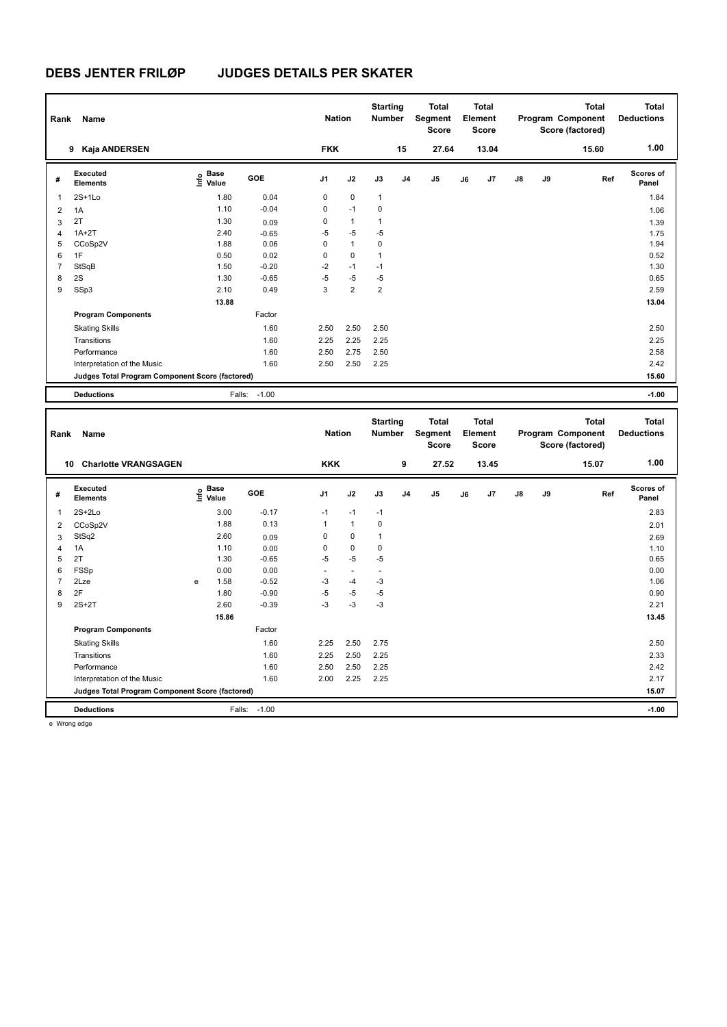| Rank           | Name                                            |                                         |                 | <b>Nation</b> |                  | <b>Starting</b><br>Number        |    | <b>Total</b><br>Segment<br>Score |    | <b>Total</b><br>Element<br><b>Score</b> |    |    | <b>Total</b><br>Program Component<br>Score (factored) | <b>Total</b><br><b>Deductions</b> |
|----------------|-------------------------------------------------|-----------------------------------------|-----------------|---------------|------------------|----------------------------------|----|----------------------------------|----|-----------------------------------------|----|----|-------------------------------------------------------|-----------------------------------|
|                | 9 Kaja ANDERSEN                                 |                                         |                 | <b>FKK</b>    |                  |                                  | 15 | 27.64                            |    | 13.04                                   |    |    | 15.60                                                 | 1.00                              |
| #              | Executed<br><b>Elements</b>                     | $\mathsf{E}$ Base<br>$\mathsf{E}$ Value | <b>GOE</b>      | J1            | J2               | J3                               | J4 | J5                               | J6 | J7                                      | J8 | J9 | Ref                                                   | <b>Scores of</b><br>Panel         |
| $\overline{1}$ | $2S+1Lo$                                        | 1.80                                    | 0.04            | 0             | $\pmb{0}$        | $\mathbf{1}$                     |    |                                  |    |                                         |    |    |                                                       | 1.84                              |
| 2              | 1A                                              | 1.10                                    | $-0.04$         | $\pmb{0}$     | $-1$             | $\pmb{0}$                        |    |                                  |    |                                         |    |    |                                                       | 1.06                              |
| 3              | 2T                                              | 1.30                                    | 0.09            | 0             | $\mathbf{1}$     | $\mathbf{1}$                     |    |                                  |    |                                         |    |    |                                                       | 1.39                              |
| $\overline{4}$ | $1A+2T$                                         | 2.40                                    | $-0.65$         | $-5$          | $-5$             | $-5$                             |    |                                  |    |                                         |    |    |                                                       | 1.75                              |
| 5              | CCoSp2V                                         | 1.88                                    | 0.06            | $\mathbf 0$   | $\mathbf{1}$     | $\mathbf 0$                      |    |                                  |    |                                         |    |    |                                                       | 1.94                              |
| 6              | 1F                                              | 0.50                                    | 0.02            | $\pmb{0}$     | $\pmb{0}$        | $\mathbf{1}$                     |    |                                  |    |                                         |    |    |                                                       | 0.52                              |
| $\overline{7}$ | StSqB                                           | 1.50                                    | $-0.20$         | -2            | $-1$             | $-1$                             |    |                                  |    |                                         |    |    |                                                       | 1.30                              |
| 8              | 2S                                              | 1.30                                    | $-0.65$         | $-5$          | $-5$             | $-5$                             |    |                                  |    |                                         |    |    |                                                       | 0.65                              |
| 9              | SSp3                                            | 2.10                                    | 0.49            | 3             | $\boldsymbol{2}$ | $\mathbf 2$                      |    |                                  |    |                                         |    |    |                                                       | 2.59                              |
|                |                                                 | 13.88                                   |                 |               |                  |                                  |    |                                  |    |                                         |    |    |                                                       | 13.04                             |
|                | <b>Program Components</b>                       |                                         | Factor          |               |                  |                                  |    |                                  |    |                                         |    |    |                                                       |                                   |
|                | <b>Skating Skills</b>                           |                                         | 1.60            | 2.50          | 2.50             | 2.50                             |    |                                  |    |                                         |    |    |                                                       | 2.50                              |
|                | Transitions                                     |                                         | 1.60            | 2.25          | 2.25             | 2.25                             |    |                                  |    |                                         |    |    |                                                       | 2.25                              |
|                | Performance                                     |                                         | 1.60            | 2.50          | 2.75             | 2.50                             |    |                                  |    |                                         |    |    |                                                       | 2.58                              |
|                | Interpretation of the Music                     |                                         | 1.60            | 2.50          | 2.50             | 2.25                             |    |                                  |    |                                         |    |    |                                                       | 2.42                              |
|                | Judges Total Program Component Score (factored) |                                         |                 |               |                  |                                  |    |                                  |    |                                         |    |    |                                                       | 15.60                             |
|                | <b>Deductions</b>                               | Falls:                                  | $-1.00$         |               |                  |                                  |    |                                  |    |                                         |    |    |                                                       | $-1.00$                           |
|                |                                                 |                                         |                 |               |                  |                                  |    |                                  |    |                                         |    |    |                                                       |                                   |
|                |                                                 |                                         |                 |               |                  |                                  |    |                                  |    |                                         |    |    |                                                       |                                   |
| Rank           | Name                                            |                                         |                 | <b>Nation</b> |                  | <b>Starting</b><br><b>Number</b> |    | <b>Total</b><br>Segment          |    | <b>Total</b><br><b>Element</b>          |    |    | <b>Total</b><br>Program Component                     | <b>Total</b><br><b>Deductions</b> |
|                |                                                 |                                         |                 |               |                  |                                  |    | Score                            |    | <b>Score</b>                            |    |    | Score (factored)                                      |                                   |
|                | 10 Charlotte VRANGSAGEN                         |                                         |                 | <b>KKK</b>    |                  |                                  | 9  | 27.52                            |    | 13.45                                   |    |    | 15.07                                                 | 1.00                              |
| #              | <b>Executed</b><br><b>Elements</b>              |                                         | GOE             | J1            | J2               | J3                               | J4 | J5                               | J6 | J7                                      | J8 | J9 | Ref                                                   | <b>Scores of</b><br>Panel         |
|                |                                                 | e Base<br>⊆ Value                       |                 |               |                  |                                  |    |                                  |    |                                         |    |    |                                                       |                                   |
| 1              | $2S+2Lo$                                        | 3.00                                    | $-0.17$         | $-1$          | $-1$             | $-1$                             |    |                                  |    |                                         |    |    |                                                       | 2.83                              |
| $\overline{2}$ | CCoSp2V                                         | 1.88                                    | 0.13            | $\mathbf{1}$  | $\mathbf{1}$     | $\pmb{0}$                        |    |                                  |    |                                         |    |    |                                                       | 2.01                              |
| 3              | StSq2                                           | 2.60                                    | 0.09            | 0             | $\pmb{0}$        | $\mathbf{1}$                     |    |                                  |    |                                         |    |    |                                                       | 2.69                              |
| $\overline{4}$ | 1A                                              | 1.10                                    | 0.00            | $\mathbf 0$   | $\pmb{0}$        | $\mathbf 0$                      |    |                                  |    |                                         |    |    |                                                       | 1.10                              |
| 5<br>6         | 2T                                              | 1.30<br>0.00                            | $-0.65$<br>0.00 | $-5$<br>L,    | $-5$<br>÷,       | $-5$<br>÷,                       |    |                                  |    |                                         |    |    |                                                       | 0.65<br>0.00                      |
| $\overline{7}$ | FSSp<br>2Lze                                    | 1.58<br>e                               | $-0.52$         | $-3$          | $-4$             |                                  |    |                                  |    |                                         |    |    |                                                       | 1.06                              |
| 8              | 2F                                              | 1.80                                    | $-0.90$         | -5            | $-5$             | $-3$<br>$-5$                     |    |                                  |    |                                         |    |    |                                                       | 0.90                              |
| 9              | $2S+2T$                                         | 2.60                                    | $-0.39$         | $-3$          | $-3$             | $-3$                             |    |                                  |    |                                         |    |    |                                                       | 2.21                              |
|                |                                                 | 15.86                                   |                 |               |                  |                                  |    |                                  |    |                                         |    |    |                                                       | 13.45                             |
|                | <b>Program Components</b>                       |                                         | Factor          |               |                  |                                  |    |                                  |    |                                         |    |    |                                                       |                                   |
|                |                                                 |                                         | 1.60            | 2.25          | 2.50             | 2.75                             |    |                                  |    |                                         |    |    |                                                       | 2.50                              |
|                | <b>Skating Skills</b><br>Transitions            |                                         | 1.60            | 2.25          | 2.50             | 2.25                             |    |                                  |    |                                         |    |    |                                                       | 2.33                              |
|                |                                                 |                                         |                 |               |                  |                                  |    |                                  |    |                                         |    |    |                                                       |                                   |
|                | Performance<br>Interpretation of the Music      |                                         | 1.60<br>1.60    | 2.50<br>2.00  | 2.50<br>2.25     | 2.25<br>2.25                     |    |                                  |    |                                         |    |    |                                                       | 2.42<br>2.17                      |

**Deductions** Falls: -1.00 **-1.00**

e Wrong edge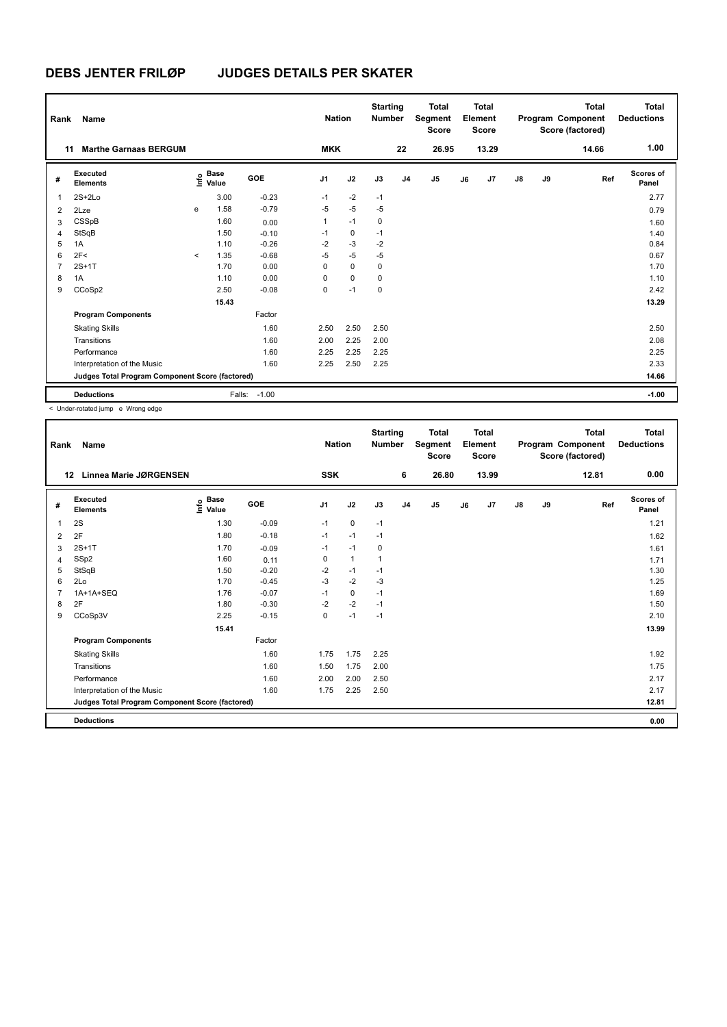| Rank           | Name                                            |                          |                      |            |                | <b>Nation</b> |             | <b>Starting</b><br><b>Number</b> |                | <b>Total</b><br>Segment<br><b>Score</b> |    | <b>Total</b><br>Element<br><b>Score</b> |               |    | <b>Total</b><br>Program Component<br>Score (factored) | <b>Total</b><br><b>Deductions</b> |
|----------------|-------------------------------------------------|--------------------------|----------------------|------------|----------------|---------------|-------------|----------------------------------|----------------|-----------------------------------------|----|-----------------------------------------|---------------|----|-------------------------------------------------------|-----------------------------------|
| 11             | <b>Marthe Garnaas BERGUM</b>                    |                          |                      |            | <b>MKK</b>     |               |             |                                  | 22             | 26.95                                   |    | 13.29                                   |               |    | 14.66                                                 | 1.00                              |
| #              | Executed<br><b>Elements</b>                     | ۴o                       | <b>Base</b><br>Value | <b>GOE</b> | J <sub>1</sub> | J2            |             | J3                               | J <sub>4</sub> | J <sub>5</sub>                          | J6 | J <sub>7</sub>                          | $\mathsf{J}8$ | J9 | Ref                                                   | Scores of<br>Panel                |
| 1              | $2S+2Lo$                                        |                          | 3.00                 | $-0.23$    | $-1$           |               | $-2$        | $-1$                             |                |                                         |    |                                         |               |    |                                                       | 2.77                              |
| $\overline{2}$ | 2Lze                                            | e                        | 1.58                 | $-0.79$    | $-5$           |               | $-5$        | $-5$                             |                |                                         |    |                                         |               |    |                                                       | 0.79                              |
| 3              | CSSpB                                           |                          | 1.60                 | 0.00       | 1              | $-1$          |             | $\mathbf 0$                      |                |                                         |    |                                         |               |    |                                                       | 1.60                              |
| 4              | StSqB                                           |                          | 1.50                 | $-0.10$    | $-1$           |               | 0           | $-1$                             |                |                                         |    |                                         |               |    |                                                       | 1.40                              |
| 5              | 1A                                              |                          | 1.10                 | $-0.26$    | $-2$           |               | $-3$        | $-2$                             |                |                                         |    |                                         |               |    |                                                       | 0.84                              |
| 6              | 2F<                                             | $\overline{\phantom{a}}$ | 1.35                 | $-0.68$    | $-5$           |               | $-5$        | $-5$                             |                |                                         |    |                                         |               |    |                                                       | 0.67                              |
| 7              | $2S+1T$                                         |                          | 1.70                 | 0.00       | 0              |               | $\mathbf 0$ | $\mathbf 0$                      |                |                                         |    |                                         |               |    |                                                       | 1.70                              |
| 8              | 1A                                              |                          | 1.10                 | 0.00       | $\Omega$       |               | $\mathbf 0$ | 0                                |                |                                         |    |                                         |               |    |                                                       | 1.10                              |
| 9              | CCoSp2                                          |                          | 2.50                 | $-0.08$    | 0              | $-1$          |             | 0                                |                |                                         |    |                                         |               |    |                                                       | 2.42                              |
|                |                                                 |                          | 15.43                |            |                |               |             |                                  |                |                                         |    |                                         |               |    |                                                       | 13.29                             |
|                | <b>Program Components</b>                       |                          |                      | Factor     |                |               |             |                                  |                |                                         |    |                                         |               |    |                                                       |                                   |
|                | <b>Skating Skills</b>                           |                          |                      | 1.60       | 2.50           |               | 2.50        | 2.50                             |                |                                         |    |                                         |               |    |                                                       | 2.50                              |
|                | Transitions                                     |                          |                      | 1.60       | 2.00           |               | 2.25        | 2.00                             |                |                                         |    |                                         |               |    |                                                       | 2.08                              |
|                | Performance                                     |                          |                      | 1.60       | 2.25           |               | 2.25        | 2.25                             |                |                                         |    |                                         |               |    |                                                       | 2.25                              |
|                | Interpretation of the Music                     |                          |                      | 1.60       | 2.25           |               | 2.50        | 2.25                             |                |                                         |    |                                         |               |    |                                                       | 2.33                              |
|                | Judges Total Program Component Score (factored) |                          |                      |            |                |               |             |                                  |                |                                         |    |                                         |               |    |                                                       | 14.66                             |
|                | <b>Deductions</b>                               |                          | Falls:               | $-1.00$    |                |               |             |                                  |                |                                         |    |                                         |               |    |                                                       | $-1.00$                           |

< Under-rotated jump e Wrong edge

| Rank | Name                                            |                                         |            | <b>Nation</b>  |              | <b>Starting</b><br><b>Number</b> |                | <b>Total</b><br>Segment<br><b>Score</b> |    | <b>Total</b><br>Element<br><b>Score</b> |               |    | <b>Total</b><br>Program Component<br>Score (factored) | <b>Total</b><br><b>Deductions</b> |
|------|-------------------------------------------------|-----------------------------------------|------------|----------------|--------------|----------------------------------|----------------|-----------------------------------------|----|-----------------------------------------|---------------|----|-------------------------------------------------------|-----------------------------------|
| 12   | <b>Linnea Marie JØRGENSEN</b>                   |                                         |            | <b>SSK</b>     |              |                                  | 6              | 26.80                                   |    | 13.99                                   |               |    | 12.81                                                 | 0.00                              |
| #    | Executed<br><b>Elements</b>                     | $\mathsf{E}$ Base<br>$\mathsf{E}$ Value | <b>GOE</b> | J <sub>1</sub> | J2           | J3                               | J <sub>4</sub> | J5                                      | J6 | J7                                      | $\mathsf{J}8$ | J9 | Ref                                                   | <b>Scores of</b><br>Panel         |
| 1    | 2S                                              | 1.30                                    | $-0.09$    | $-1$           | $\mathbf 0$  | $-1$                             |                |                                         |    |                                         |               |    |                                                       | 1.21                              |
| 2    | 2F                                              | 1.80                                    | $-0.18$    | $-1$           | $-1$         | $-1$                             |                |                                         |    |                                         |               |    |                                                       | 1.62                              |
| 3    | $2S+1T$                                         | 1.70                                    | $-0.09$    | $-1$           | $-1$         | 0                                |                |                                         |    |                                         |               |    |                                                       | 1.61                              |
| 4    | SSp2                                            | 1.60                                    | 0.11       | 0              | $\mathbf{1}$ | 1                                |                |                                         |    |                                         |               |    |                                                       | 1.71                              |
| 5    | StSqB                                           | 1.50                                    | $-0.20$    | $-2$           | $-1$         | $-1$                             |                |                                         |    |                                         |               |    |                                                       | 1.30                              |
| 6    | 2Lo                                             | 1.70                                    | $-0.45$    | $-3$           | $-2$         | $-3$                             |                |                                         |    |                                         |               |    |                                                       | 1.25                              |
| 7    | 1A+1A+SEQ                                       | 1.76                                    | $-0.07$    | $-1$           | 0            | $-1$                             |                |                                         |    |                                         |               |    |                                                       | 1.69                              |
| 8    | 2F                                              | 1.80                                    | $-0.30$    | $-2$           | $-2$         | $-1$                             |                |                                         |    |                                         |               |    |                                                       | 1.50                              |
| 9    | CCoSp3V                                         | 2.25                                    | $-0.15$    | $\Omega$       | $-1$         | $-1$                             |                |                                         |    |                                         |               |    |                                                       | 2.10                              |
|      |                                                 | 15.41                                   |            |                |              |                                  |                |                                         |    |                                         |               |    |                                                       | 13.99                             |
|      | <b>Program Components</b>                       |                                         | Factor     |                |              |                                  |                |                                         |    |                                         |               |    |                                                       |                                   |
|      | <b>Skating Skills</b>                           |                                         | 1.60       | 1.75           | 1.75         | 2.25                             |                |                                         |    |                                         |               |    |                                                       | 1.92                              |
|      | Transitions                                     |                                         | 1.60       | 1.50           | 1.75         | 2.00                             |                |                                         |    |                                         |               |    |                                                       | 1.75                              |
|      | Performance                                     |                                         | 1.60       | 2.00           | 2.00         | 2.50                             |                |                                         |    |                                         |               |    |                                                       | 2.17                              |
|      | Interpretation of the Music                     |                                         | 1.60       | 1.75           | 2.25         | 2.50                             |                |                                         |    |                                         |               |    |                                                       | 2.17                              |
|      | Judges Total Program Component Score (factored) |                                         |            |                |              |                                  |                |                                         |    |                                         |               |    |                                                       | 12.81                             |
|      | <b>Deductions</b>                               |                                         |            |                |              |                                  |                |                                         |    |                                         |               |    |                                                       | 0.00                              |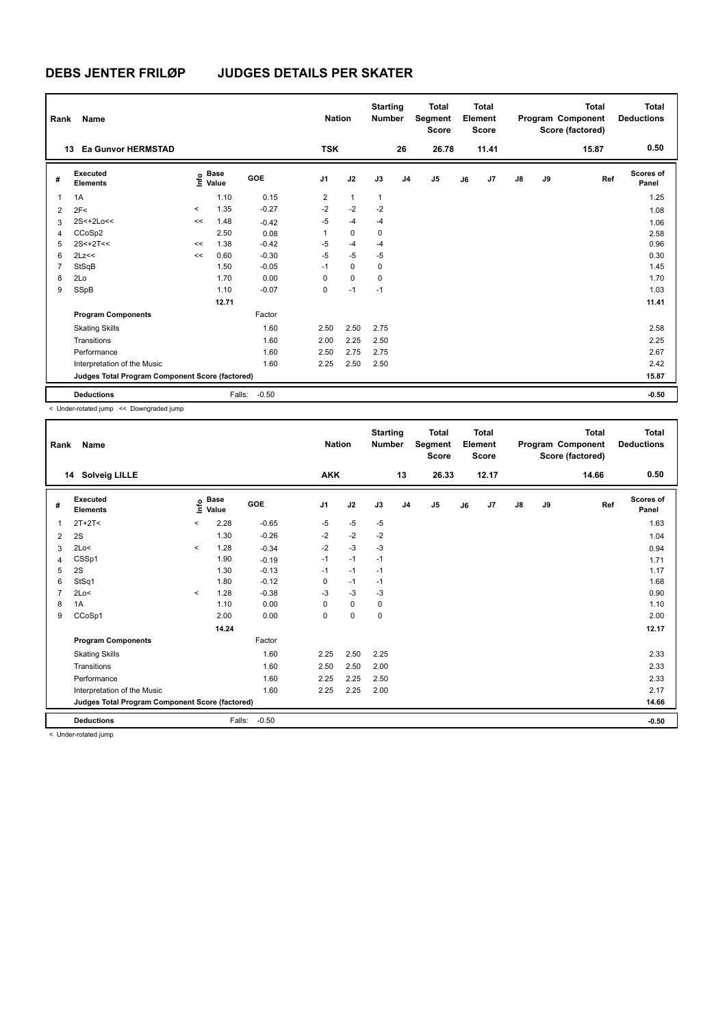| Rank           | Name                                            |         |                      |            | <b>Nation</b>  |              | <b>Starting</b><br><b>Number</b> |                | <b>Total</b><br>Segment<br><b>Score</b> |    | <b>Total</b><br>Element<br><b>Score</b> |               |    | <b>Total</b><br>Program Component<br>Score (factored) | <b>Total</b><br><b>Deductions</b> |
|----------------|-------------------------------------------------|---------|----------------------|------------|----------------|--------------|----------------------------------|----------------|-----------------------------------------|----|-----------------------------------------|---------------|----|-------------------------------------------------------|-----------------------------------|
|                | <b>Ea Gunvor HERMSTAD</b><br>13                 |         |                      |            | <b>TSK</b>     |              |                                  | 26             | 26.78                                   |    | 11.41                                   |               |    | 15.87                                                 | 0.50                              |
| #              | Executed<br><b>Elements</b>                     | lnfo    | <b>Base</b><br>Value | <b>GOE</b> | J <sub>1</sub> | J2           | J3                               | J <sub>4</sub> | J5                                      | J6 | J7                                      | $\mathsf{J}8$ | J9 | Ref                                                   | Scores of<br>Panel                |
| $\mathbf 1$    | 1A                                              |         | 1.10                 | 0.15       | $\overline{2}$ | $\mathbf{1}$ | $\mathbf{1}$                     |                |                                         |    |                                         |               |    |                                                       | 1.25                              |
| $\overline{2}$ | 2F<                                             | $\prec$ | 1.35                 | $-0.27$    | $-2$           | $-2$         | $-2$                             |                |                                         |    |                                         |               |    |                                                       | 1.08                              |
| 3              | $2S<+2Lo<<$                                     | <<      | 1.48                 | $-0.42$    | $-5$           | $-4$         | $-4$                             |                |                                         |    |                                         |               |    |                                                       | 1.06                              |
| 4              | CCoSp2                                          |         | 2.50                 | 0.08       | 1              | $\mathbf 0$  | 0                                |                |                                         |    |                                         |               |    |                                                       | 2.58                              |
| 5              | $2S < +2T <$                                    | <<      | 1.38                 | $-0.42$    | $-5$           | $-4$         | $-4$                             |                |                                         |    |                                         |               |    |                                                       | 0.96                              |
| 6              | 2Lz<<                                           | <<      | 0.60                 | $-0.30$    | $-5$           | $-5$         | $-5$                             |                |                                         |    |                                         |               |    |                                                       | 0.30                              |
| $\overline{7}$ | StSqB                                           |         | 1.50                 | $-0.05$    | $-1$           | $\mathbf 0$  | 0                                |                |                                         |    |                                         |               |    |                                                       | 1.45                              |
| 8              | 2Lo                                             |         | 1.70                 | 0.00       | 0              | $\mathbf 0$  | 0                                |                |                                         |    |                                         |               |    |                                                       | 1.70                              |
| 9              | SSpB                                            |         | 1.10                 | $-0.07$    | 0              | $-1$         | $-1$                             |                |                                         |    |                                         |               |    |                                                       | 1.03                              |
|                |                                                 |         | 12.71                |            |                |              |                                  |                |                                         |    |                                         |               |    |                                                       | 11.41                             |
|                | <b>Program Components</b>                       |         |                      | Factor     |                |              |                                  |                |                                         |    |                                         |               |    |                                                       |                                   |
|                | <b>Skating Skills</b>                           |         |                      | 1.60       | 2.50           | 2.50         | 2.75                             |                |                                         |    |                                         |               |    |                                                       | 2.58                              |
|                | Transitions                                     |         |                      | 1.60       | 2.00           | 2.25         | 2.50                             |                |                                         |    |                                         |               |    |                                                       | 2.25                              |
|                | Performance                                     |         |                      | 1.60       | 2.50           | 2.75         | 2.75                             |                |                                         |    |                                         |               |    |                                                       | 2.67                              |
|                | Interpretation of the Music                     |         |                      | 1.60       | 2.25           | 2.50         | 2.50                             |                |                                         |    |                                         |               |    |                                                       | 2.42                              |
|                | Judges Total Program Component Score (factored) |         |                      |            |                |              |                                  |                |                                         |    |                                         |               |    |                                                       | 15.87                             |
|                | <b>Deductions</b>                               |         | Falls:               | $-0.50$    |                |              |                                  |                |                                         |    |                                         |               |    |                                                       | $-0.50$                           |

< Under-rotated jump << Downgraded jump

| Rank | Name                                            |                          |                      |            | <b>Nation</b>  |      | <b>Starting</b><br><b>Number</b> |                | <b>Total</b><br>Segment<br><b>Score</b> |    | <b>Total</b><br>Element<br><b>Score</b> |               |    | <b>Total</b><br>Program Component<br>Score (factored) | <b>Total</b><br><b>Deductions</b> |
|------|-------------------------------------------------|--------------------------|----------------------|------------|----------------|------|----------------------------------|----------------|-----------------------------------------|----|-----------------------------------------|---------------|----|-------------------------------------------------------|-----------------------------------|
|      | 14 Solveig LILLE                                |                          |                      |            | <b>AKK</b>     |      |                                  | 13             | 26.33                                   |    | 12.17                                   |               |    | 14.66                                                 | 0.50                              |
| #    | Executed<br><b>Elements</b>                     | ١nf٥                     | <b>Base</b><br>Value | <b>GOE</b> | J <sub>1</sub> | J2   | J3                               | J <sub>4</sub> | J5                                      | J6 | J7                                      | $\mathsf{J}8$ | J9 | Ref                                                   | <b>Scores of</b><br>Panel         |
| 1    | $2T+2T<$                                        | $\prec$                  | 2.28                 | $-0.65$    | $-5$           | $-5$ | $-5$                             |                |                                         |    |                                         |               |    |                                                       | 1.63                              |
| 2    | 2S                                              |                          | 1.30                 | $-0.26$    | $-2$           | $-2$ | $-2$                             |                |                                         |    |                                         |               |    |                                                       | 1.04                              |
| 3    | 2Lo<                                            | $\overline{\phantom{a}}$ | 1.28                 | $-0.34$    | $-2$           | $-3$ | $-3$                             |                |                                         |    |                                         |               |    |                                                       | 0.94                              |
| 4    | CSSp1                                           |                          | 1.90                 | $-0.19$    | $-1$           | $-1$ | $-1$                             |                |                                         |    |                                         |               |    |                                                       | 1.71                              |
| 5    | 2S                                              |                          | 1.30                 | $-0.13$    | $-1$           | $-1$ | $-1$                             |                |                                         |    |                                         |               |    |                                                       | 1.17                              |
| 6    | StSq1                                           |                          | 1.80                 | $-0.12$    | $\Omega$       | $-1$ | $-1$                             |                |                                         |    |                                         |               |    |                                                       | 1.68                              |
| 7    | 2Lo<                                            | $\prec$                  | 1.28                 | $-0.38$    | $-3$           | $-3$ | $-3$                             |                |                                         |    |                                         |               |    |                                                       | 0.90                              |
| 8    | 1A                                              |                          | 1.10                 | 0.00       | 0              | 0    | 0                                |                |                                         |    |                                         |               |    |                                                       | 1.10                              |
| 9    | CCoSp1                                          |                          | 2.00                 | 0.00       | $\Omega$       | 0    | $\mathbf 0$                      |                |                                         |    |                                         |               |    |                                                       | 2.00                              |
|      |                                                 |                          | 14.24                |            |                |      |                                  |                |                                         |    |                                         |               |    |                                                       | 12.17                             |
|      | <b>Program Components</b>                       |                          |                      | Factor     |                |      |                                  |                |                                         |    |                                         |               |    |                                                       |                                   |
|      | <b>Skating Skills</b>                           |                          |                      | 1.60       | 2.25           | 2.50 | 2.25                             |                |                                         |    |                                         |               |    |                                                       | 2.33                              |
|      | Transitions                                     |                          |                      | 1.60       | 2.50           | 2.50 | 2.00                             |                |                                         |    |                                         |               |    |                                                       | 2.33                              |
|      | Performance                                     |                          |                      | 1.60       | 2.25           | 2.25 | 2.50                             |                |                                         |    |                                         |               |    |                                                       | 2.33                              |
|      | Interpretation of the Music                     |                          |                      | 1.60       | 2.25           | 2.25 | 2.00                             |                |                                         |    |                                         |               |    |                                                       | 2.17                              |
|      | Judges Total Program Component Score (factored) |                          |                      |            |                |      |                                  |                |                                         |    |                                         |               |    |                                                       | 14.66                             |
|      | <b>Deductions</b>                               |                          | Falls:               | $-0.50$    |                |      |                                  |                |                                         |    |                                         |               |    |                                                       | $-0.50$                           |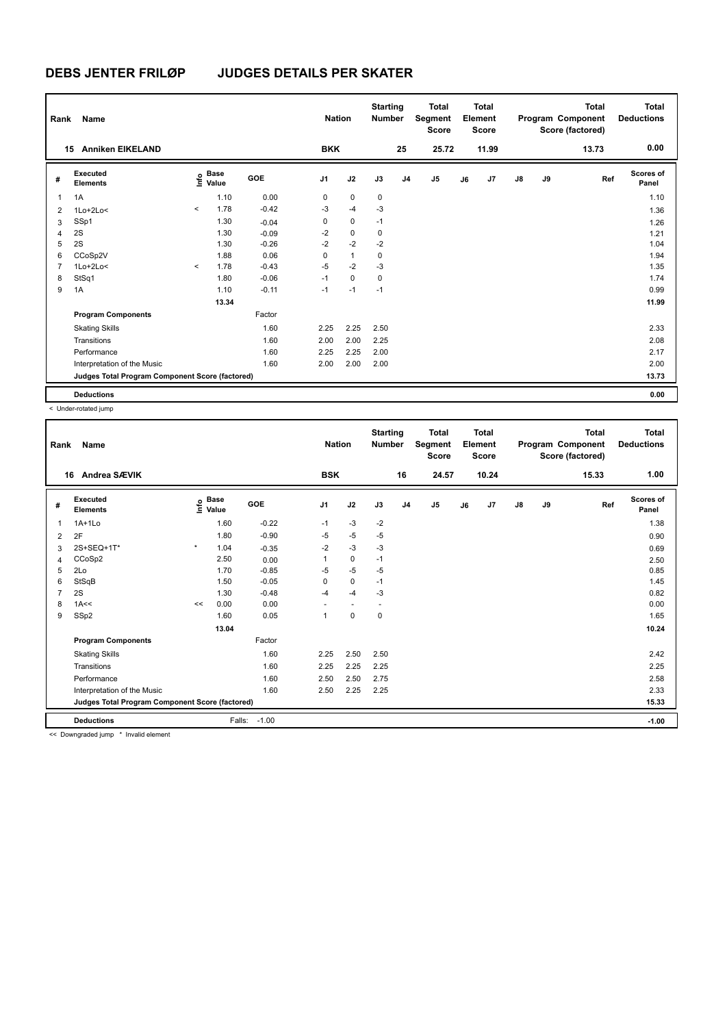| Rank           | Name                                            |         |                                             |         | <b>Nation</b> |              | <b>Starting</b><br><b>Number</b> |                | <b>Total</b><br>Segment<br><b>Score</b> |    | <b>Total</b><br>Element<br><b>Score</b> |    |    | <b>Total</b><br>Program Component<br>Score (factored) | <b>Total</b><br><b>Deductions</b> |
|----------------|-------------------------------------------------|---------|---------------------------------------------|---------|---------------|--------------|----------------------------------|----------------|-----------------------------------------|----|-----------------------------------------|----|----|-------------------------------------------------------|-----------------------------------|
|                | <b>Anniken EIKELAND</b><br>15                   |         |                                             |         | <b>BKK</b>    |              |                                  | 25             | 25.72                                   |    | 11.99                                   |    |    | 13.73                                                 | 0.00                              |
| #              | <b>Executed</b><br><b>Elements</b>              |         | <b>Base</b><br>e <sup>Base</sup><br>⊆ Value | GOE     | J1            | J2           | J3                               | J <sub>4</sub> | J <sub>5</sub>                          | J6 | J7                                      | J8 | J9 | Ref                                                   | <b>Scores of</b><br>Panel         |
| 1              | 1A                                              |         | 1.10                                        | 0.00    | 0             | $\mathbf 0$  | $\mathbf 0$                      |                |                                         |    |                                         |    |    |                                                       | 1.10                              |
| 2              | $1Lo+2Lo<$                                      | $\prec$ | 1.78                                        | $-0.42$ | $-3$          | $-4$         | $-3$                             |                |                                         |    |                                         |    |    |                                                       | 1.36                              |
| 3              | SSp1                                            |         | 1.30                                        | $-0.04$ | 0             | $\mathbf 0$  | $-1$                             |                |                                         |    |                                         |    |    |                                                       | 1.26                              |
| 4              | 2S                                              |         | 1.30                                        | $-0.09$ | $-2$          | 0            | 0                                |                |                                         |    |                                         |    |    |                                                       | 1.21                              |
| 5              | 2S                                              |         | 1.30                                        | $-0.26$ | $-2$          | $-2$         | $-2$                             |                |                                         |    |                                         |    |    |                                                       | 1.04                              |
| 6              | CCoSp2V                                         |         | 1.88                                        | 0.06    | 0             | $\mathbf{1}$ | 0                                |                |                                         |    |                                         |    |    |                                                       | 1.94                              |
| $\overline{7}$ | $1Lo+2Lo<$                                      | $\prec$ | 1.78                                        | $-0.43$ | $-5$          | $-2$         | $-3$                             |                |                                         |    |                                         |    |    |                                                       | 1.35                              |
| 8              | StSq1                                           |         | 1.80                                        | $-0.06$ | $-1$          | 0            | 0                                |                |                                         |    |                                         |    |    |                                                       | 1.74                              |
| 9              | 1A                                              |         | 1.10                                        | $-0.11$ | $-1$          | $-1$         | $-1$                             |                |                                         |    |                                         |    |    |                                                       | 0.99                              |
|                |                                                 |         | 13.34                                       |         |               |              |                                  |                |                                         |    |                                         |    |    |                                                       | 11.99                             |
|                | <b>Program Components</b>                       |         |                                             | Factor  |               |              |                                  |                |                                         |    |                                         |    |    |                                                       |                                   |
|                | <b>Skating Skills</b>                           |         |                                             | 1.60    | 2.25          | 2.25         | 2.50                             |                |                                         |    |                                         |    |    |                                                       | 2.33                              |
|                | Transitions                                     |         |                                             | 1.60    | 2.00          | 2.00         | 2.25                             |                |                                         |    |                                         |    |    |                                                       | 2.08                              |
|                | Performance                                     |         |                                             | 1.60    | 2.25          | 2.25         | 2.00                             |                |                                         |    |                                         |    |    |                                                       | 2.17                              |
|                | Interpretation of the Music                     |         |                                             | 1.60    | 2.00          | 2.00         | 2.00                             |                |                                         |    |                                         |    |    |                                                       | 2.00                              |
|                | Judges Total Program Component Score (factored) |         |                                             |         |               |              |                                  |                |                                         |    |                                         |    |    |                                                       | 13.73                             |
|                | <b>Deductions</b>                               |         |                                             |         |               |              |                                  |                |                                         |    |                                         |    |    |                                                       | 0.00                              |

< Under-rotated jump

| Rank | Name                                            |         |                      |         | <b>Nation</b>  |             | <b>Starting</b><br><b>Number</b> |                | <b>Total</b><br>Segment<br><b>Score</b> |    | <b>Total</b><br>Element<br><b>Score</b> |               |    | <b>Total</b><br>Program Component<br>Score (factored) | <b>Total</b><br><b>Deductions</b> |
|------|-------------------------------------------------|---------|----------------------|---------|----------------|-------------|----------------------------------|----------------|-----------------------------------------|----|-----------------------------------------|---------------|----|-------------------------------------------------------|-----------------------------------|
| 16   | Andrea SÆVIK                                    |         |                      |         | <b>BSK</b>     |             |                                  | 16             | 24.57                                   |    | 10.24                                   |               |    | 15.33                                                 | 1.00                              |
| #    | Executed<br><b>Elements</b>                     | ١nf٥    | <b>Base</b><br>Value | GOE     | J <sub>1</sub> | J2          | J3                               | J <sub>4</sub> | J5                                      | J6 | J7                                      | $\mathsf{J}8$ | J9 | Ref                                                   | Scores of<br>Panel                |
| 1    | $1A+1Lo$                                        |         | 1.60                 | $-0.22$ | $-1$           | $-3$        | $-2$                             |                |                                         |    |                                         |               |    |                                                       | 1.38                              |
| 2    | 2F                                              |         | 1.80                 | $-0.90$ | $-5$           | $-5$        | $-5$                             |                |                                         |    |                                         |               |    |                                                       | 0.90                              |
| 3    | 2S+SEQ+1T*                                      | $\star$ | 1.04                 | $-0.35$ | $-2$           | $-3$        | $-3$                             |                |                                         |    |                                         |               |    |                                                       | 0.69                              |
| 4    | CCoSp2                                          |         | 2.50                 | 0.00    |                | $\mathbf 0$ | $-1$                             |                |                                         |    |                                         |               |    |                                                       | 2.50                              |
| 5    | 2Lo                                             |         | 1.70                 | $-0.85$ | $-5$           | $-5$        | $-5$                             |                |                                         |    |                                         |               |    |                                                       | 0.85                              |
| 6    | StSqB                                           |         | 1.50                 | $-0.05$ | 0              | $\mathbf 0$ | $-1$                             |                |                                         |    |                                         |               |    |                                                       | 1.45                              |
| 7    | 2S                                              |         | 1.30                 | $-0.48$ | $-4$           | $-4$        | -3                               |                |                                         |    |                                         |               |    |                                                       | 0.82                              |
| 8    | 1A<<                                            | <<      | 0.00                 | 0.00    |                |             |                                  |                |                                         |    |                                         |               |    |                                                       | 0.00                              |
| 9    | SSp2                                            |         | 1.60                 | 0.05    | 1              | $\mathbf 0$ | 0                                |                |                                         |    |                                         |               |    |                                                       | 1.65                              |
|      |                                                 |         | 13.04                |         |                |             |                                  |                |                                         |    |                                         |               |    |                                                       | 10.24                             |
|      | <b>Program Components</b>                       |         |                      | Factor  |                |             |                                  |                |                                         |    |                                         |               |    |                                                       |                                   |
|      | <b>Skating Skills</b>                           |         |                      | 1.60    | 2.25           | 2.50        | 2.50                             |                |                                         |    |                                         |               |    |                                                       | 2.42                              |
|      | Transitions                                     |         |                      | 1.60    | 2.25           | 2.25        | 2.25                             |                |                                         |    |                                         |               |    |                                                       | 2.25                              |
|      | Performance                                     |         |                      | 1.60    | 2.50           | 2.50        | 2.75                             |                |                                         |    |                                         |               |    |                                                       | 2.58                              |
|      | Interpretation of the Music                     |         |                      | 1.60    | 2.50           | 2.25        | 2.25                             |                |                                         |    |                                         |               |    |                                                       | 2.33                              |
|      | Judges Total Program Component Score (factored) |         |                      |         |                |             |                                  |                |                                         |    |                                         |               |    |                                                       | 15.33                             |
|      | <b>Deductions</b><br>.                          |         | Falls:               | $-1.00$ |                |             |                                  |                |                                         |    |                                         |               |    |                                                       | $-1.00$                           |

<< Downgraded jump \* Invalid element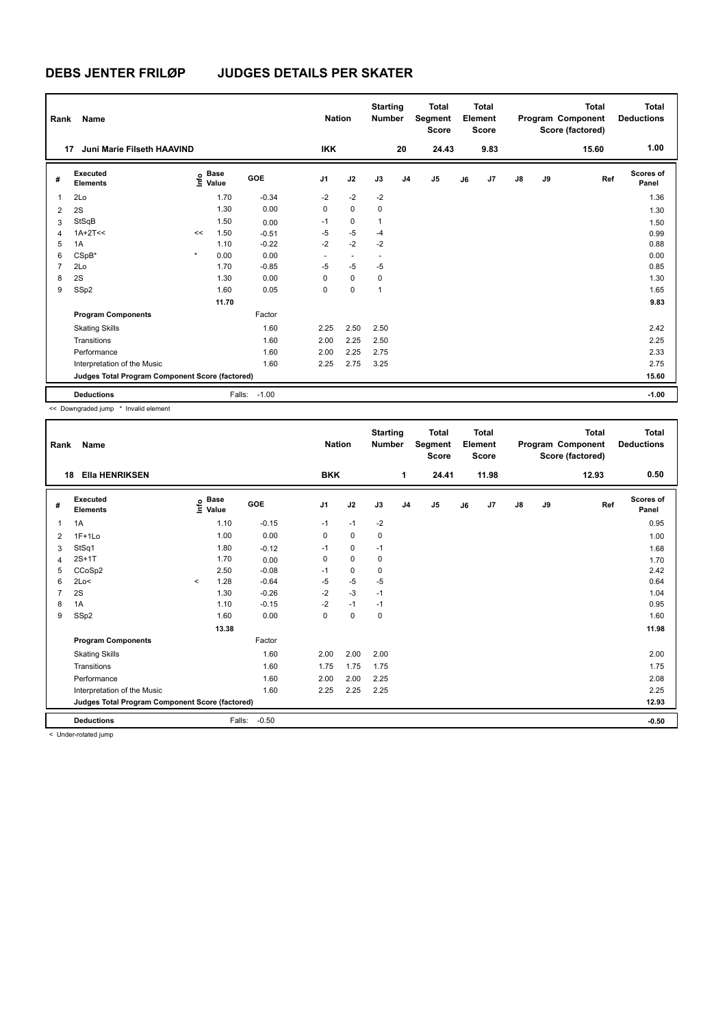| Rank           | Name                                            |         |                                             |         |                          | <b>Nation</b>            | <b>Starting</b><br><b>Number</b> |                | <b>Total</b><br>Segment<br><b>Score</b> |    | <b>Total</b><br>Element<br><b>Score</b> |               |    | <b>Total</b><br>Program Component<br>Score (factored) | <b>Total</b><br><b>Deductions</b> |
|----------------|-------------------------------------------------|---------|---------------------------------------------|---------|--------------------------|--------------------------|----------------------------------|----------------|-----------------------------------------|----|-----------------------------------------|---------------|----|-------------------------------------------------------|-----------------------------------|
| 17             | Juni Marie Filseth HAAVIND                      |         |                                             |         | <b>IKK</b>               |                          |                                  | 20             | 24.43                                   |    | 9.83                                    |               |    | 15.60                                                 | 1.00                              |
| #              | Executed<br><b>Elements</b>                     |         | <b>Base</b><br>e <sup>Base</sup><br>⊆ Value | GOE     | J1                       | J2                       | J3                               | J <sub>4</sub> | J <sub>5</sub>                          | J6 | J7                                      | $\mathsf{J}8$ | J9 | Ref                                                   | Scores of<br>Panel                |
| 1              | 2Lo                                             |         | 1.70                                        | $-0.34$ | $-2$                     | $-2$                     | $-2$                             |                |                                         |    |                                         |               |    |                                                       | 1.36                              |
| 2              | 2S                                              |         | 1.30                                        | 0.00    | 0                        | $\mathbf 0$              | 0                                |                |                                         |    |                                         |               |    |                                                       | 1.30                              |
| 3              | StSqB                                           |         | 1.50                                        | 0.00    | $-1$                     | 0                        | 1                                |                |                                         |    |                                         |               |    |                                                       | 1.50                              |
| 4              | $1A+2T<<$                                       | <<      | 1.50                                        | $-0.51$ | $-5$                     | $-5$                     | $-4$                             |                |                                         |    |                                         |               |    |                                                       | 0.99                              |
| 5              | 1A                                              |         | 1.10                                        | $-0.22$ | $-2$                     | $-2$                     | $-2$                             |                |                                         |    |                                         |               |    |                                                       | 0.88                              |
| 6              | $CSpB*$                                         | $\star$ | 0.00                                        | 0.00    | $\overline{\phantom{a}}$ | $\overline{\phantom{a}}$ |                                  |                |                                         |    |                                         |               |    |                                                       | 0.00                              |
| $\overline{7}$ | 2Lo                                             |         | 1.70                                        | $-0.85$ | $-5$                     | $-5$                     | $-5$                             |                |                                         |    |                                         |               |    |                                                       | 0.85                              |
| 8              | 2S                                              |         | 1.30                                        | 0.00    | 0                        | $\mathbf 0$              | 0                                |                |                                         |    |                                         |               |    |                                                       | 1.30                              |
| 9              | SSp2                                            |         | 1.60                                        | 0.05    | 0                        | 0                        | 1                                |                |                                         |    |                                         |               |    |                                                       | 1.65                              |
|                |                                                 |         | 11.70                                       |         |                          |                          |                                  |                |                                         |    |                                         |               |    |                                                       | 9.83                              |
|                | <b>Program Components</b>                       |         |                                             | Factor  |                          |                          |                                  |                |                                         |    |                                         |               |    |                                                       |                                   |
|                | <b>Skating Skills</b>                           |         |                                             | 1.60    | 2.25                     | 2.50                     | 2.50                             |                |                                         |    |                                         |               |    |                                                       | 2.42                              |
|                | Transitions                                     |         |                                             | 1.60    | 2.00                     | 2.25                     | 2.50                             |                |                                         |    |                                         |               |    |                                                       | 2.25                              |
|                | Performance                                     |         |                                             | 1.60    | 2.00                     | 2.25                     | 2.75                             |                |                                         |    |                                         |               |    |                                                       | 2.33                              |
|                | Interpretation of the Music                     |         |                                             | 1.60    | 2.25                     | 2.75                     | 3.25                             |                |                                         |    |                                         |               |    |                                                       | 2.75                              |
|                | Judges Total Program Component Score (factored) |         |                                             |         |                          |                          |                                  |                |                                         |    |                                         |               |    |                                                       | 15.60                             |
|                | <b>Deductions</b>                               |         | Falls:                                      | $-1.00$ |                          |                          |                                  |                |                                         |    |                                         |               |    |                                                       | $-1.00$                           |

<< Downgraded jump \* Invalid element

| Rank | <b>Name</b>                                     |         |                                  |            | <b>Nation</b>  |             | <b>Starting</b><br><b>Number</b> |                | <b>Total</b><br>Segment<br><b>Score</b> |    | <b>Total</b><br>Element<br><b>Score</b> |               |    | <b>Total</b><br>Program Component<br>Score (factored) | <b>Total</b><br><b>Deductions</b> |
|------|-------------------------------------------------|---------|----------------------------------|------------|----------------|-------------|----------------------------------|----------------|-----------------------------------------|----|-----------------------------------------|---------------|----|-------------------------------------------------------|-----------------------------------|
| 18   | <b>EIIa HENRIKSEN</b>                           |         |                                  |            | <b>BKK</b>     |             |                                  | 1              | 24.41                                   |    | 11.98                                   |               |    | 12.93                                                 | 0.50                              |
| #    | Executed<br><b>Elements</b>                     |         | <b>Base</b><br>e Base<br>⊆ Value | <b>GOE</b> | J <sub>1</sub> | J2          | J3                               | J <sub>4</sub> | J5                                      | J6 | J7                                      | $\mathsf{J}8$ | J9 | Ref                                                   | <b>Scores of</b><br>Panel         |
| 1    | 1A                                              |         | 1.10                             | $-0.15$    | $-1$           | $-1$        | $-2$                             |                |                                         |    |                                         |               |    |                                                       | 0.95                              |
| 2    | $1F+1Lo$                                        |         | 1.00                             | 0.00       | 0              | $\mathbf 0$ | 0                                |                |                                         |    |                                         |               |    |                                                       | 1.00                              |
| 3    | StSq1                                           |         | 1.80                             | $-0.12$    | $-1$           | $\mathbf 0$ | $-1$                             |                |                                         |    |                                         |               |    |                                                       | 1.68                              |
| 4    | $2S+1T$                                         |         | 1.70                             | 0.00       | 0              | $\mathbf 0$ | $\mathbf 0$                      |                |                                         |    |                                         |               |    |                                                       | 1.70                              |
| 5    | CCoSp2                                          |         | 2.50                             | $-0.08$    | $-1$           | 0           | 0                                |                |                                         |    |                                         |               |    |                                                       | 2.42                              |
| 6    | 2Lo<                                            | $\prec$ | 1.28                             | $-0.64$    | -5             | $-5$        | $-5$                             |                |                                         |    |                                         |               |    |                                                       | 0.64                              |
| 7    | 2S                                              |         | 1.30                             | $-0.26$    | $-2$           | $-3$        | $-1$                             |                |                                         |    |                                         |               |    |                                                       | 1.04                              |
| 8    | 1A                                              |         | 1.10                             | $-0.15$    | $-2$           | $-1$        | $-1$                             |                |                                         |    |                                         |               |    |                                                       | 0.95                              |
| 9    | SSp2                                            |         | 1.60                             | 0.00       | 0              | 0           | 0                                |                |                                         |    |                                         |               |    |                                                       | 1.60                              |
|      |                                                 |         | 13.38                            |            |                |             |                                  |                |                                         |    |                                         |               |    |                                                       | 11.98                             |
|      | <b>Program Components</b>                       |         |                                  | Factor     |                |             |                                  |                |                                         |    |                                         |               |    |                                                       |                                   |
|      | <b>Skating Skills</b>                           |         |                                  | 1.60       | 2.00           | 2.00        | 2.00                             |                |                                         |    |                                         |               |    |                                                       | 2.00                              |
|      | Transitions                                     |         |                                  | 1.60       | 1.75           | 1.75        | 1.75                             |                |                                         |    |                                         |               |    |                                                       | 1.75                              |
|      | Performance                                     |         |                                  | 1.60       | 2.00           | 2.00        | 2.25                             |                |                                         |    |                                         |               |    |                                                       | 2.08                              |
|      | Interpretation of the Music                     |         |                                  | 1.60       | 2.25           | 2.25        | 2.25                             |                |                                         |    |                                         |               |    |                                                       | 2.25                              |
|      | Judges Total Program Component Score (factored) |         |                                  |            |                |             |                                  |                |                                         |    |                                         |               |    |                                                       | 12.93                             |
|      | <b>Deductions</b>                               |         | Falls:                           | $-0.50$    |                |             |                                  |                |                                         |    |                                         |               |    |                                                       | $-0.50$                           |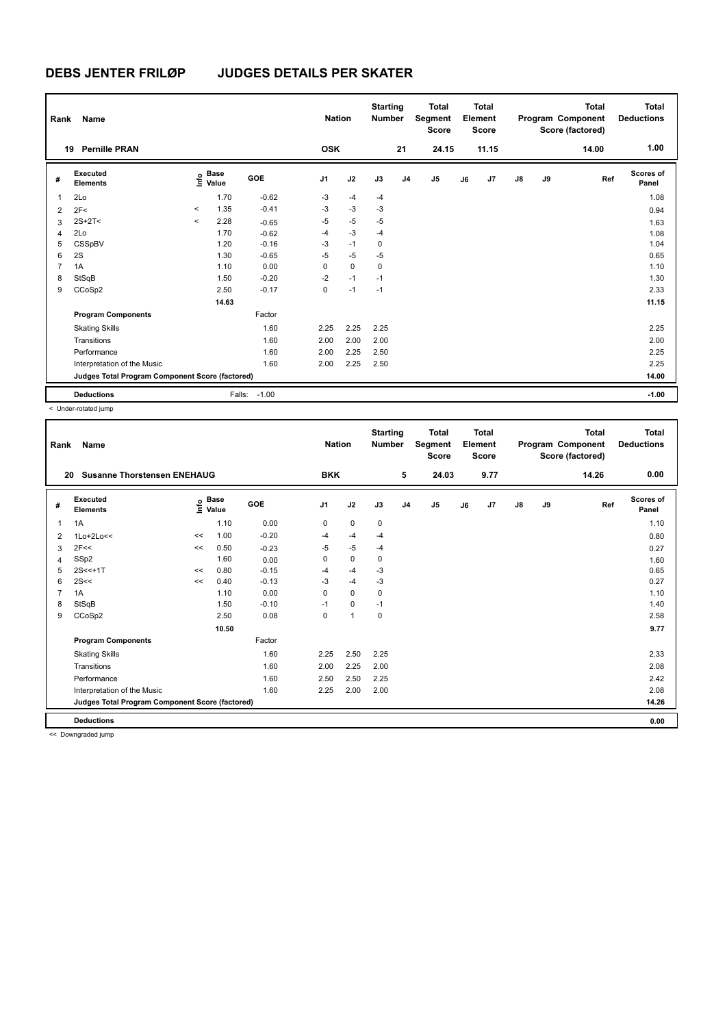| Rank           | Name                                            |         |                                             |         |             | <b>Nation</b> |           | <b>Starting</b><br><b>Number</b> |                | <b>Total</b><br>Segment<br><b>Score</b> |    | Total<br>Element<br><b>Score</b> |               |    | <b>Total</b><br>Program Component<br>Score (factored) | Total<br><b>Deductions</b> |
|----------------|-------------------------------------------------|---------|---------------------------------------------|---------|-------------|---------------|-----------|----------------------------------|----------------|-----------------------------------------|----|----------------------------------|---------------|----|-------------------------------------------------------|----------------------------|
|                | <b>Pernille PRAN</b><br>19                      |         |                                             |         | <b>OSK</b>  |               |           |                                  | 21             | 24.15                                   |    | 11.15                            |               |    | 14.00                                                 | 1.00                       |
| #              | Executed<br><b>Elements</b>                     |         | <b>Base</b><br>e <sup>Base</sup><br>⊆ Value | GOE     | J1          |               | J2        | J3                               | J <sub>4</sub> | J <sub>5</sub>                          | J6 | J <sub>7</sub>                   | $\mathsf{J}8$ | J9 | Ref                                                   | Scores of<br>Panel         |
| 1              | 2Lo                                             |         | 1.70                                        | $-0.62$ | $-3$        |               | $-4$      | $-4$                             |                |                                         |    |                                  |               |    |                                                       | 1.08                       |
| 2              | 2F<                                             | $\prec$ | 1.35                                        | $-0.41$ | $-3$        |               | $-3$      | $-3$                             |                |                                         |    |                                  |               |    |                                                       | 0.94                       |
| 3              | $2S+2T<$                                        | $\prec$ | 2.28                                        | $-0.65$ | $-5$        |               | $-5$      | $-5$                             |                |                                         |    |                                  |               |    |                                                       | 1.63                       |
| 4              | 2Lo                                             |         | 1.70                                        | $-0.62$ | $-4$        |               | $-3$      | $-4$                             |                |                                         |    |                                  |               |    |                                                       | 1.08                       |
| 5              | CSSpBV                                          |         | 1.20                                        | $-0.16$ | $-3$        |               | $-1$      | $\mathbf 0$                      |                |                                         |    |                                  |               |    |                                                       | 1.04                       |
| 6              | 2S                                              |         | 1.30                                        | $-0.65$ | $-5$        |               | $-5$      | $-5$                             |                |                                         |    |                                  |               |    |                                                       | 0.65                       |
| $\overline{7}$ | 1A                                              |         | 1.10                                        | 0.00    | 0           |               | $\pmb{0}$ | 0                                |                |                                         |    |                                  |               |    |                                                       | 1.10                       |
| 8              | StSqB                                           |         | 1.50                                        | $-0.20$ | $-2$        |               | $-1$      | $-1$                             |                |                                         |    |                                  |               |    |                                                       | 1.30                       |
| 9              | CCoSp2                                          |         | 2.50                                        | $-0.17$ | $\mathbf 0$ |               | $-1$      | $-1$                             |                |                                         |    |                                  |               |    |                                                       | 2.33                       |
|                |                                                 |         | 14.63                                       |         |             |               |           |                                  |                |                                         |    |                                  |               |    |                                                       | 11.15                      |
|                | <b>Program Components</b>                       |         |                                             | Factor  |             |               |           |                                  |                |                                         |    |                                  |               |    |                                                       |                            |
|                | <b>Skating Skills</b>                           |         |                                             | 1.60    | 2.25        |               | 2.25      | 2.25                             |                |                                         |    |                                  |               |    |                                                       | 2.25                       |
|                | Transitions                                     |         |                                             | 1.60    | 2.00        |               | 2.00      | 2.00                             |                |                                         |    |                                  |               |    |                                                       | 2.00                       |
|                | Performance                                     |         |                                             | 1.60    | 2.00        |               | 2.25      | 2.50                             |                |                                         |    |                                  |               |    |                                                       | 2.25                       |
|                | Interpretation of the Music                     |         |                                             | 1.60    | 2.00        |               | 2.25      | 2.50                             |                |                                         |    |                                  |               |    |                                                       | 2.25                       |
|                | Judges Total Program Component Score (factored) |         |                                             |         |             |               |           |                                  |                |                                         |    |                                  |               |    |                                                       | 14.00                      |
|                | <b>Deductions</b>                               |         | Falls:                                      | $-1.00$ |             |               |           |                                  |                |                                         |    |                                  |               |    |                                                       | $-1.00$                    |

< Under-rotated jump

| Rank | Name                                            |    |                                  |            | <b>Nation</b>  |                      | <b>Starting</b><br><b>Number</b> |                | <b>Total</b><br>Segment<br><b>Score</b> |    | <b>Total</b><br>Element<br><b>Score</b> |               |    | <b>Total</b><br>Program Component<br>Score (factored) | <b>Total</b><br><b>Deductions</b> |
|------|-------------------------------------------------|----|----------------------------------|------------|----------------|----------------------|----------------------------------|----------------|-----------------------------------------|----|-----------------------------------------|---------------|----|-------------------------------------------------------|-----------------------------------|
| 20   | <b>Susanne Thorstensen ENEHAUG</b>              |    |                                  |            | <b>BKK</b>     |                      |                                  | 5              | 24.03                                   |    | 9.77                                    |               |    | 14.26                                                 | 0.00                              |
| #    | Executed<br><b>Elements</b>                     |    | <b>Base</b><br>e Base<br>E Value | <b>GOE</b> | J <sub>1</sub> | J2                   | J3                               | J <sub>4</sub> | J5                                      | J6 | J7                                      | $\mathsf{J}8$ | J9 | Ref                                                   | <b>Scores of</b><br>Panel         |
| 1    | 1A                                              |    | 1.10                             | 0.00       | 0              | 0                    | 0                                |                |                                         |    |                                         |               |    |                                                       | 1.10                              |
| 2    | $1$ Lo+ $2$ Lo<<                                | << | 1.00                             | $-0.20$    | $-4$           | $-4$                 | $-4$                             |                |                                         |    |                                         |               |    |                                                       | 0.80                              |
| 3    | 2F<<                                            | << | 0.50                             | $-0.23$    | $-5$           | $-5$                 | $-4$                             |                |                                         |    |                                         |               |    |                                                       | 0.27                              |
| 4    | SSp2                                            |    | 1.60                             | 0.00       | 0              | $\mathbf 0$          | 0                                |                |                                         |    |                                         |               |    |                                                       | 1.60                              |
| 5    | $2S < +1T$                                      | << | 0.80                             | $-0.15$    | $-4$           | $-4$                 | $-3$                             |                |                                         |    |                                         |               |    |                                                       | 0.65                              |
| 6    | 2S<<                                            | << | 0.40                             | $-0.13$    | $-3$           | $-4$                 | $-3$                             |                |                                         |    |                                         |               |    |                                                       | 0.27                              |
| 7    | 1A                                              |    | 1.10                             | 0.00       | $\Omega$       | $\mathbf 0$          | 0                                |                |                                         |    |                                         |               |    |                                                       | 1.10                              |
| 8    | StSqB                                           |    | 1.50                             | $-0.10$    | $-1$           | 0                    | $-1$                             |                |                                         |    |                                         |               |    |                                                       | 1.40                              |
| 9    | CCoSp2                                          |    | 2.50                             | 0.08       | 0              | $\blacktriangleleft$ | 0                                |                |                                         |    |                                         |               |    |                                                       | 2.58                              |
|      |                                                 |    | 10.50                            |            |                |                      |                                  |                |                                         |    |                                         |               |    |                                                       | 9.77                              |
|      | <b>Program Components</b>                       |    |                                  | Factor     |                |                      |                                  |                |                                         |    |                                         |               |    |                                                       |                                   |
|      | <b>Skating Skills</b>                           |    |                                  | 1.60       | 2.25           | 2.50                 | 2.25                             |                |                                         |    |                                         |               |    |                                                       | 2.33                              |
|      | Transitions                                     |    |                                  | 1.60       | 2.00           | 2.25                 | 2.00                             |                |                                         |    |                                         |               |    |                                                       | 2.08                              |
|      | Performance                                     |    |                                  | 1.60       | 2.50           | 2.50                 | 2.25                             |                |                                         |    |                                         |               |    |                                                       | 2.42                              |
|      | Interpretation of the Music                     |    |                                  | 1.60       | 2.25           | 2.00                 | 2.00                             |                |                                         |    |                                         |               |    |                                                       | 2.08                              |
|      | Judges Total Program Component Score (factored) |    |                                  |            |                |                      |                                  |                |                                         |    |                                         |               |    |                                                       | 14.26                             |
|      | <b>Deductions</b>                               |    |                                  |            |                |                      |                                  |                |                                         |    |                                         |               |    |                                                       | 0.00                              |

<< Downgraded jump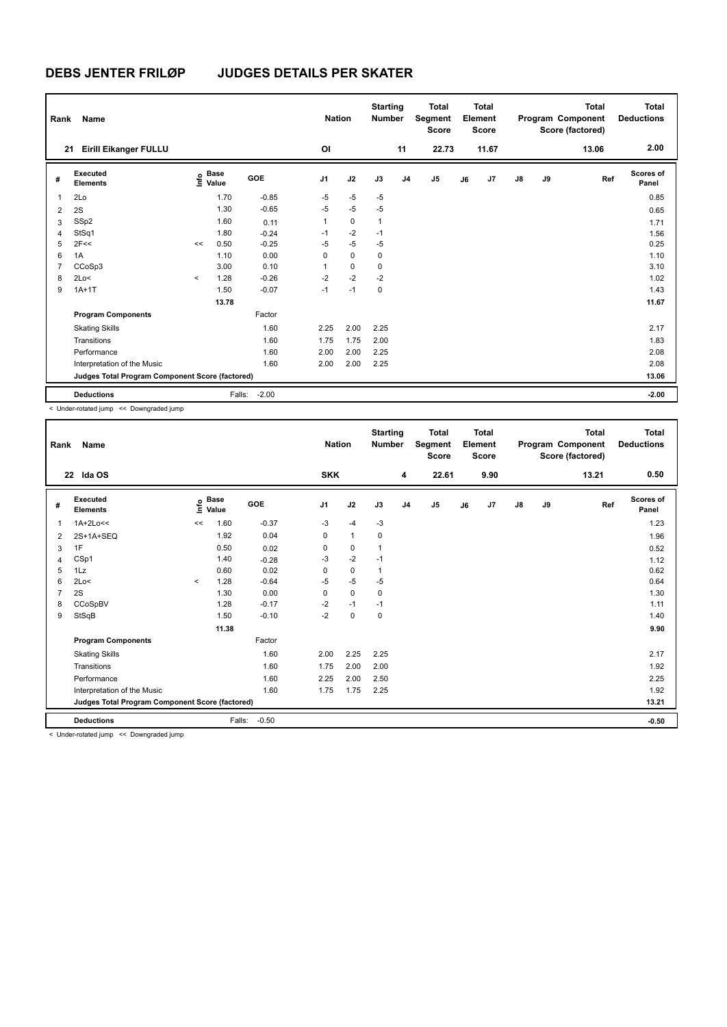| Rank           | Name                                            |         |                                  |         |          | <b>Nation</b> |      | <b>Starting</b><br><b>Number</b> | <b>Total</b><br>Segment<br><b>Score</b> |    | <b>Total</b><br>Element<br><b>Score</b> |               |    | Total<br>Program Component<br>Score (factored) | <b>Total</b><br><b>Deductions</b> |
|----------------|-------------------------------------------------|---------|----------------------------------|---------|----------|---------------|------|----------------------------------|-----------------------------------------|----|-----------------------------------------|---------------|----|------------------------------------------------|-----------------------------------|
|                | <b>Eirill Eikanger FULLU</b><br>21              |         |                                  |         | OI       |               |      | 11                               | 22.73                                   |    | 11.67                                   |               |    | 13.06                                          | 2.00                              |
| #              | <b>Executed</b><br><b>Elements</b>              |         | <b>Base</b><br>e Base<br>⊆ Value | GOE     | J1       | J2            | J3   | J <sub>4</sub>                   | J <sub>5</sub>                          | J6 | J <sub>7</sub>                          | $\mathsf{J}8$ | J9 | Ref                                            | Scores of<br>Panel                |
| 1              | 2Lo                                             |         | 1.70                             | $-0.85$ | $-5$     | $-5$          | $-5$ |                                  |                                         |    |                                         |               |    |                                                | 0.85                              |
| 2              | 2S                                              |         | 1.30                             | $-0.65$ | $-5$     | $-5$          | $-5$ |                                  |                                         |    |                                         |               |    |                                                | 0.65                              |
| 3              | SSp2                                            |         | 1.60                             | 0.11    | 1        | $\mathbf 0$   | 1    |                                  |                                         |    |                                         |               |    |                                                | 1.71                              |
| 4              | StSq1                                           |         | 1.80                             | $-0.24$ | $-1$     | $-2$          | $-1$ |                                  |                                         |    |                                         |               |    |                                                | 1.56                              |
| 5              | 2F<<                                            | <<      | 0.50                             | $-0.25$ | $-5$     | $-5$          | $-5$ |                                  |                                         |    |                                         |               |    |                                                | 0.25                              |
| 6              | 1A                                              |         | 1.10                             | 0.00    | $\Omega$ | $\mathbf 0$   | 0    |                                  |                                         |    |                                         |               |    |                                                | 1.10                              |
| $\overline{7}$ | CCoSp3                                          |         | 3.00                             | 0.10    | 1        | 0             | 0    |                                  |                                         |    |                                         |               |    |                                                | 3.10                              |
| 8              | 2Lo<                                            | $\prec$ | 1.28                             | $-0.26$ | $-2$     | $-2$          | $-2$ |                                  |                                         |    |                                         |               |    |                                                | 1.02                              |
| 9              | $1A+1T$                                         |         | 1.50                             | $-0.07$ | $-1$     | $-1$          | 0    |                                  |                                         |    |                                         |               |    |                                                | 1.43                              |
|                |                                                 |         | 13.78                            |         |          |               |      |                                  |                                         |    |                                         |               |    |                                                | 11.67                             |
|                | <b>Program Components</b>                       |         |                                  | Factor  |          |               |      |                                  |                                         |    |                                         |               |    |                                                |                                   |
|                | <b>Skating Skills</b>                           |         |                                  | 1.60    | 2.25     | 2.00          | 2.25 |                                  |                                         |    |                                         |               |    |                                                | 2.17                              |
|                | Transitions                                     |         |                                  | 1.60    | 1.75     | 1.75          | 2.00 |                                  |                                         |    |                                         |               |    |                                                | 1.83                              |
|                | Performance                                     |         |                                  | 1.60    | 2.00     | 2.00          | 2.25 |                                  |                                         |    |                                         |               |    |                                                | 2.08                              |
|                | Interpretation of the Music                     |         |                                  | 1.60    | 2.00     | 2.00          | 2.25 |                                  |                                         |    |                                         |               |    |                                                | 2.08                              |
|                | Judges Total Program Component Score (factored) |         |                                  |         |          |               |      |                                  |                                         |    |                                         |               |    |                                                | 13.06                             |
|                | <b>Deductions</b>                               |         | Falls:                           | $-2.00$ |          |               |      |                                  |                                         |    |                                         |               |    |                                                | $-2.00$                           |

< Under-rotated jump << Downgraded jump

| Rank | Name                                                                                                                 |         |                      |         | <b>Nation</b>  |              | <b>Starting</b><br><b>Number</b> |                | Total<br>Segment<br><b>Score</b> |    | <b>Total</b><br>Element<br><b>Score</b> |               |    | <b>Total</b><br>Program Component<br>Score (factored) | <b>Total</b><br><b>Deductions</b> |
|------|----------------------------------------------------------------------------------------------------------------------|---------|----------------------|---------|----------------|--------------|----------------------------------|----------------|----------------------------------|----|-----------------------------------------|---------------|----|-------------------------------------------------------|-----------------------------------|
|      | 22 Ida OS                                                                                                            |         |                      |         | <b>SKK</b>     |              |                                  | 4              | 22.61                            |    | 9.90                                    |               |    | 13.21                                                 | 0.50                              |
| #    | Executed<br><b>Elements</b>                                                                                          | ١nf٥    | <b>Base</b><br>Value | GOE     | J <sub>1</sub> | J2           | J3                               | J <sub>4</sub> | J <sub>5</sub>                   | J6 | J7                                      | $\mathsf{J}8$ | J9 | Ref                                                   | Scores of<br>Panel                |
| 1    | $1A+2Lo<<$                                                                                                           | <<      | 1.60                 | $-0.37$ | $-3$           | $-4$         | $-3$                             |                |                                  |    |                                         |               |    |                                                       | 1.23                              |
| 2    | 2S+1A+SEQ                                                                                                            |         | 1.92                 | 0.04    | 0              | $\mathbf{1}$ | $\mathbf 0$                      |                |                                  |    |                                         |               |    |                                                       | 1.96                              |
| 3    | 1F                                                                                                                   |         | 0.50                 | 0.02    | 0              | 0            | 1                                |                |                                  |    |                                         |               |    |                                                       | 0.52                              |
| 4    | CSp1                                                                                                                 |         | 1.40                 | $-0.28$ | $-3$           | $-2$         | $-1$                             |                |                                  |    |                                         |               |    |                                                       | 1.12                              |
| 5    | 1Lz                                                                                                                  |         | 0.60                 | 0.02    | 0              | 0            | 1                                |                |                                  |    |                                         |               |    |                                                       | 0.62                              |
| 6    | 2Lo<                                                                                                                 | $\prec$ | 1.28                 | $-0.64$ | $-5$           | $-5$         | $-5$                             |                |                                  |    |                                         |               |    |                                                       | 0.64                              |
| 7    | 2S                                                                                                                   |         | 1.30                 | 0.00    | $\Omega$       | 0            | $\mathbf 0$                      |                |                                  |    |                                         |               |    |                                                       | 1.30                              |
| 8    | CCoSpBV                                                                                                              |         | 1.28                 | $-0.17$ | $-2$           | $-1$         | $-1$                             |                |                                  |    |                                         |               |    |                                                       | 1.11                              |
| 9    | StSqB                                                                                                                |         | 1.50                 | $-0.10$ | $-2$           | 0            | $\mathbf 0$                      |                |                                  |    |                                         |               |    |                                                       | 1.40                              |
|      |                                                                                                                      |         | 11.38                |         |                |              |                                  |                |                                  |    |                                         |               |    |                                                       | 9.90                              |
|      | <b>Program Components</b>                                                                                            |         |                      | Factor  |                |              |                                  |                |                                  |    |                                         |               |    |                                                       |                                   |
|      | <b>Skating Skills</b>                                                                                                |         |                      | 1.60    | 2.00           | 2.25         | 2.25                             |                |                                  |    |                                         |               |    |                                                       | 2.17                              |
|      | Transitions                                                                                                          |         |                      | 1.60    | 1.75           | 2.00         | 2.00                             |                |                                  |    |                                         |               |    |                                                       | 1.92                              |
|      | Performance                                                                                                          |         |                      | 1.60    | 2.25           | 2.00         | 2.50                             |                |                                  |    |                                         |               |    |                                                       | 2.25                              |
|      | Interpretation of the Music                                                                                          |         |                      | 1.60    | 1.75           | 1.75         | 2.25                             |                |                                  |    |                                         |               |    |                                                       | 1.92                              |
|      | Judges Total Program Component Score (factored)                                                                      |         |                      |         |                |              |                                  |                |                                  |    |                                         |               |    |                                                       | 13.21                             |
|      | <b>Deductions</b><br>$\sim$ $\sim$ $\sim$ $\sim$ $\sim$ $\sim$ $\sim$<br>and a series of the series of the series of |         | Falls:               | $-0.50$ |                |              |                                  |                |                                  |    |                                         |               |    |                                                       | $-0.50$                           |

< Under-rotated jump << Downgraded jump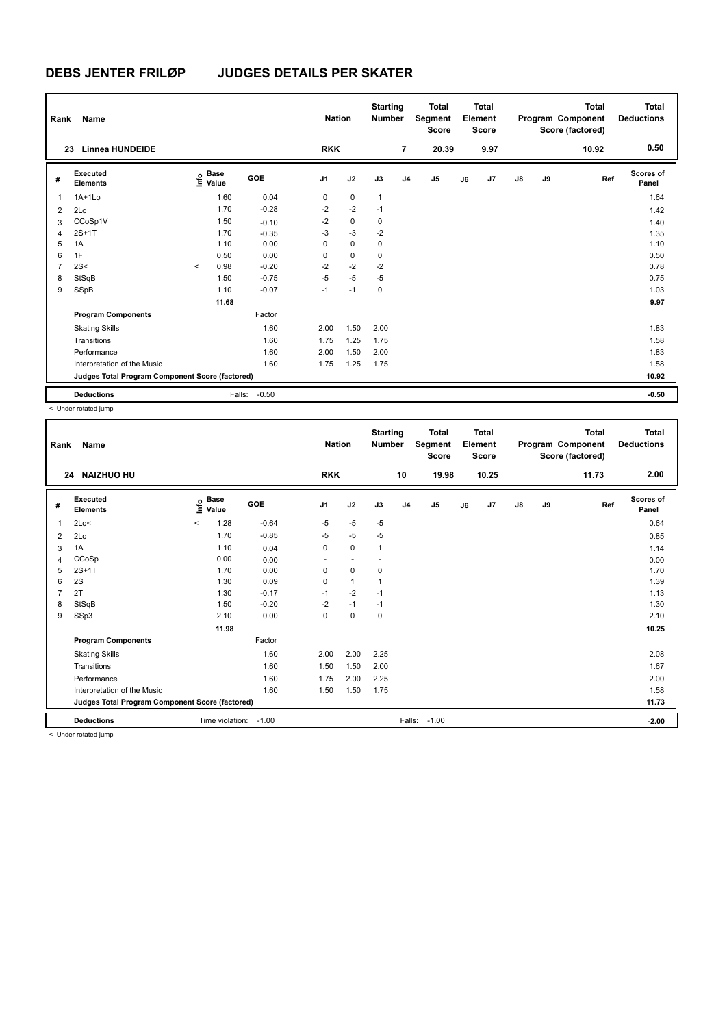| Rank           | Name                                            |                                             |                   | <b>Nation</b>  |             | <b>Starting</b><br><b>Number</b> |                | <b>Total</b><br>Segment<br><b>Score</b> |    | Total<br>Element<br><b>Score</b> |               |    | <b>Total</b><br>Program Component<br>Score (factored) | <b>Total</b><br><b>Deductions</b> |
|----------------|-------------------------------------------------|---------------------------------------------|-------------------|----------------|-------------|----------------------------------|----------------|-----------------------------------------|----|----------------------------------|---------------|----|-------------------------------------------------------|-----------------------------------|
| 23             | <b>Linnea HUNDEIDE</b>                          |                                             |                   | <b>RKK</b>     |             |                                  | $\overline{7}$ | 20.39                                   |    | 9.97                             |               |    | 10.92                                                 | 0.50                              |
| #              | Executed<br><b>Elements</b>                     | <b>Base</b><br>e <sup>Base</sup><br>⊆ Value | GOE               | J <sub>1</sub> | J2          | J3                               | J <sub>4</sub> | J <sub>5</sub>                          | J6 | J7                               | $\mathsf{J}8$ | J9 | Ref                                                   | Scores of<br>Panel                |
| 1              | $1A+1L0$                                        | 1.60                                        | 0.04              | $\mathbf 0$    | $\mathbf 0$ | $\mathbf{1}$                     |                |                                         |    |                                  |               |    |                                                       | 1.64                              |
| 2              | 2Lo                                             | 1.70                                        | $-0.28$           | $-2$           | $-2$        | $-1$                             |                |                                         |    |                                  |               |    |                                                       | 1.42                              |
| 3              | CCoSp1V                                         | 1.50                                        | $-0.10$           | $-2$           | 0           | 0                                |                |                                         |    |                                  |               |    |                                                       | 1.40                              |
| $\overline{4}$ | $2S+1T$                                         | 1.70                                        | $-0.35$           | $-3$           | $-3$        | $-2$                             |                |                                         |    |                                  |               |    |                                                       | 1.35                              |
| 5              | 1A                                              | 1.10                                        | 0.00              | $\Omega$       | $\mathbf 0$ | 0                                |                |                                         |    |                                  |               |    |                                                       | 1.10                              |
| 6              | 1F                                              | 0.50                                        | 0.00              | 0              | $\mathbf 0$ | 0                                |                |                                         |    |                                  |               |    |                                                       | 0.50                              |
| $\overline{7}$ | 2S<                                             | 0.98<br>$\prec$                             | $-0.20$           | $-2$           | $-2$        | $-2$                             |                |                                         |    |                                  |               |    |                                                       | 0.78                              |
| 8              | StSqB                                           | 1.50                                        | $-0.75$           | $-5$           | $-5$        | $-5$                             |                |                                         |    |                                  |               |    |                                                       | 0.75                              |
| 9              | SSpB                                            | 1.10                                        | $-0.07$           | $-1$           | $-1$        | 0                                |                |                                         |    |                                  |               |    |                                                       | 1.03                              |
|                |                                                 | 11.68                                       |                   |                |             |                                  |                |                                         |    |                                  |               |    |                                                       | 9.97                              |
|                | <b>Program Components</b>                       |                                             | Factor            |                |             |                                  |                |                                         |    |                                  |               |    |                                                       |                                   |
|                | <b>Skating Skills</b>                           |                                             | 1.60              | 2.00           | 1.50        | 2.00                             |                |                                         |    |                                  |               |    |                                                       | 1.83                              |
|                | Transitions                                     |                                             | 1.60              | 1.75           | 1.25        | 1.75                             |                |                                         |    |                                  |               |    |                                                       | 1.58                              |
|                | Performance                                     |                                             | 1.60              | 2.00           | 1.50        | 2.00                             |                |                                         |    |                                  |               |    |                                                       | 1.83                              |
|                | Interpretation of the Music                     |                                             | 1.60              | 1.75           | 1.25        | 1.75                             |                |                                         |    |                                  |               |    |                                                       | 1.58                              |
|                | Judges Total Program Component Score (factored) |                                             |                   |                |             |                                  |                |                                         |    |                                  |               |    |                                                       | 10.92                             |
|                | <b>Deductions</b>                               |                                             | $-0.50$<br>Falls: |                |             |                                  |                |                                         |    |                                  |               |    |                                                       | $-0.50$                           |

< Under-rotated jump

| Rank | Name                                            |         |                      |         | <b>Nation</b>  |              | <b>Starting</b><br><b>Number</b> |                | <b>Total</b><br>Segment<br><b>Score</b> |    | <b>Total</b><br>Element<br><b>Score</b> |               |    | <b>Total</b><br>Program Component<br>Score (factored) | <b>Total</b><br><b>Deductions</b> |
|------|-------------------------------------------------|---------|----------------------|---------|----------------|--------------|----------------------------------|----------------|-----------------------------------------|----|-----------------------------------------|---------------|----|-------------------------------------------------------|-----------------------------------|
| 24   | <b>NAIZHUO HU</b>                               |         |                      |         | <b>RKK</b>     |              |                                  | 10             | 19.98                                   |    | 10.25                                   |               |    | 11.73                                                 | 2.00                              |
| #    | Executed<br><b>Elements</b>                     | ١nf٥    | <b>Base</b><br>Value | GOE     | J <sub>1</sub> | J2           | J3                               | J <sub>4</sub> | J5                                      | J6 | J7                                      | $\mathsf{J}8$ | J9 | Ref                                                   | <b>Scores of</b><br>Panel         |
| 1    | 2Lo<                                            | $\prec$ | 1.28                 | $-0.64$ | $-5$           | $-5$         | $-5$                             |                |                                         |    |                                         |               |    |                                                       | 0.64                              |
| 2    | 2Lo                                             |         | 1.70                 | $-0.85$ | $-5$           | $-5$         | $-5$                             |                |                                         |    |                                         |               |    |                                                       | 0.85                              |
| 3    | 1A                                              |         | 1.10                 | 0.04    | 0              | $\mathbf 0$  | 1                                |                |                                         |    |                                         |               |    |                                                       | 1.14                              |
| 4    | CCoSp                                           |         | 0.00                 | 0.00    |                |              |                                  |                |                                         |    |                                         |               |    |                                                       | 0.00                              |
| 5    | $2S+1T$                                         |         | 1.70                 | 0.00    | 0              | 0            | 0                                |                |                                         |    |                                         |               |    |                                                       | 1.70                              |
| 6    | 2S                                              |         | 1.30                 | 0.09    | $\Omega$       | $\mathbf{1}$ |                                  |                |                                         |    |                                         |               |    |                                                       | 1.39                              |
| 7    | 2T                                              |         | 1.30                 | $-0.17$ | $-1$           | $-2$         | $-1$                             |                |                                         |    |                                         |               |    |                                                       | 1.13                              |
| 8    | StSqB                                           |         | 1.50                 | $-0.20$ | $-2$           | $-1$         | $-1$                             |                |                                         |    |                                         |               |    |                                                       | 1.30                              |
| 9    | SSp3                                            |         | 2.10                 | 0.00    | 0              | $\mathbf 0$  | 0                                |                |                                         |    |                                         |               |    |                                                       | 2.10                              |
|      |                                                 |         | 11.98                |         |                |              |                                  |                |                                         |    |                                         |               |    |                                                       | 10.25                             |
|      | <b>Program Components</b>                       |         |                      | Factor  |                |              |                                  |                |                                         |    |                                         |               |    |                                                       |                                   |
|      | <b>Skating Skills</b>                           |         |                      | 1.60    | 2.00           | 2.00         | 2.25                             |                |                                         |    |                                         |               |    |                                                       | 2.08                              |
|      | Transitions                                     |         |                      | 1.60    | 1.50           | 1.50         | 2.00                             |                |                                         |    |                                         |               |    |                                                       | 1.67                              |
|      | Performance                                     |         |                      | 1.60    | 1.75           | 2.00         | 2.25                             |                |                                         |    |                                         |               |    |                                                       | 2.00                              |
|      | Interpretation of the Music                     |         |                      | 1.60    | 1.50           | 1.50         | 1.75                             |                |                                         |    |                                         |               |    |                                                       | 1.58                              |
|      | Judges Total Program Component Score (factored) |         |                      |         |                |              |                                  |                |                                         |    |                                         |               |    |                                                       | 11.73                             |
|      | <b>Deductions</b>                               |         | Time violation:      | $-1.00$ |                |              |                                  | Falls:         | $-1.00$                                 |    |                                         |               |    |                                                       | $-2.00$                           |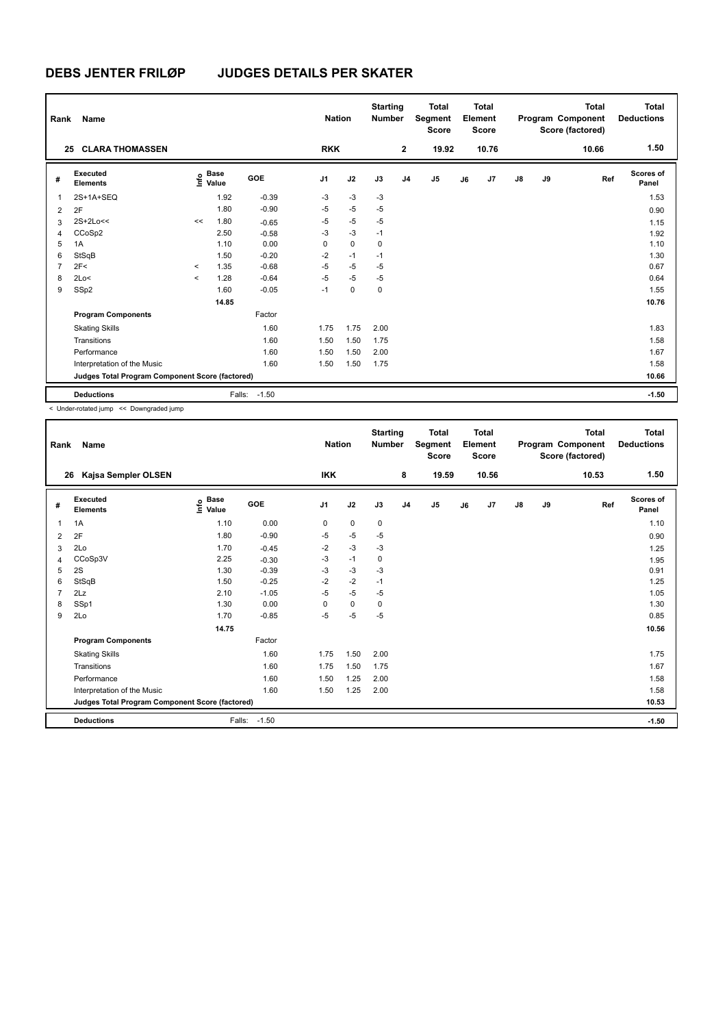| Rank           | Name                                            |         |                                             |         |                | <b>Nation</b> | <b>Starting</b><br><b>Number</b> |                | <b>Total</b><br>Segment<br><b>Score</b> |    | Total<br>Element<br><b>Score</b> |               |    | <b>Total</b><br>Program Component<br>Score (factored) | Total<br><b>Deductions</b> |
|----------------|-------------------------------------------------|---------|---------------------------------------------|---------|----------------|---------------|----------------------------------|----------------|-----------------------------------------|----|----------------------------------|---------------|----|-------------------------------------------------------|----------------------------|
| 25             | <b>CLARA THOMASSEN</b>                          |         |                                             |         | <b>RKK</b>     |               |                                  | $\overline{2}$ | 19.92                                   |    | 10.76                            |               |    | 10.66                                                 | 1.50                       |
| #              | Executed<br><b>Elements</b>                     |         | <b>Base</b><br>e <sup>Base</sup><br>⊆ Value | GOE     | J <sub>1</sub> | J2            | J3                               | J <sub>4</sub> | J <sub>5</sub>                          | J6 | J7                               | $\mathsf{J}8$ | J9 | Ref                                                   | Scores of<br>Panel         |
| 1              | 2S+1A+SEQ                                       |         | 1.92                                        | $-0.39$ | $-3$           | $-3$          | $-3$                             |                |                                         |    |                                  |               |    |                                                       | 1.53                       |
| 2              | 2F                                              |         | 1.80                                        | $-0.90$ | $-5$           | $-5$          | $-5$                             |                |                                         |    |                                  |               |    |                                                       | 0.90                       |
| 3              | $2S+2Lo<<$                                      | <<      | 1.80                                        | $-0.65$ | $-5$           | $-5$          | $-5$                             |                |                                         |    |                                  |               |    |                                                       | 1.15                       |
| 4              | CCoSp2                                          |         | 2.50                                        | $-0.58$ | $-3$           | $-3$          | $-1$                             |                |                                         |    |                                  |               |    |                                                       | 1.92                       |
| 5              | 1A                                              |         | 1.10                                        | 0.00    | 0              | $\mathbf 0$   | 0                                |                |                                         |    |                                  |               |    |                                                       | 1.10                       |
| 6              | StSqB                                           |         | 1.50                                        | $-0.20$ | $-2$           | $-1$          | $-1$                             |                |                                         |    |                                  |               |    |                                                       | 1.30                       |
| $\overline{7}$ | 2F<                                             | $\prec$ | 1.35                                        | $-0.68$ | $-5$           | $-5$          | $-5$                             |                |                                         |    |                                  |               |    |                                                       | 0.67                       |
| 8              | 2Lo<                                            | $\prec$ | 1.28                                        | $-0.64$ | $-5$           | $-5$          | $-5$                             |                |                                         |    |                                  |               |    |                                                       | 0.64                       |
| 9              | SSp2                                            |         | 1.60                                        | $-0.05$ | $-1$           | 0             | 0                                |                |                                         |    |                                  |               |    |                                                       | 1.55                       |
|                |                                                 |         | 14.85                                       |         |                |               |                                  |                |                                         |    |                                  |               |    |                                                       | 10.76                      |
|                | <b>Program Components</b>                       |         |                                             | Factor  |                |               |                                  |                |                                         |    |                                  |               |    |                                                       |                            |
|                | <b>Skating Skills</b>                           |         |                                             | 1.60    | 1.75           | 1.75          | 2.00                             |                |                                         |    |                                  |               |    |                                                       | 1.83                       |
|                | Transitions                                     |         |                                             | 1.60    | 1.50           | 1.50          | 1.75                             |                |                                         |    |                                  |               |    |                                                       | 1.58                       |
|                | Performance                                     |         |                                             | 1.60    | 1.50           | 1.50          | 2.00                             |                |                                         |    |                                  |               |    |                                                       | 1.67                       |
|                | Interpretation of the Music                     |         |                                             | 1.60    | 1.50           | 1.50          | 1.75                             |                |                                         |    |                                  |               |    |                                                       | 1.58                       |
|                | Judges Total Program Component Score (factored) |         |                                             |         |                |               |                                  |                |                                         |    |                                  |               |    |                                                       | 10.66                      |
|                | <b>Deductions</b>                               |         | Falls:                                      | $-1.50$ |                |               |                                  |                |                                         |    |                                  |               |    |                                                       | $-1.50$                    |

< Under-rotated jump << Downgraded jump

| Rank           | Name                                            |                                  |              | <b>Nation</b>  |           | <b>Starting</b><br><b>Number</b> |                | <b>Total</b><br>Segment<br><b>Score</b> |    | <b>Total</b><br>Element<br><b>Score</b> |               |    | <b>Total</b><br>Program Component<br>Score (factored) | <b>Total</b><br><b>Deductions</b> |
|----------------|-------------------------------------------------|----------------------------------|--------------|----------------|-----------|----------------------------------|----------------|-----------------------------------------|----|-----------------------------------------|---------------|----|-------------------------------------------------------|-----------------------------------|
| 26             | Kajsa Sempler OLSEN                             |                                  |              | <b>IKK</b>     |           |                                  | 8              | 19.59                                   |    | 10.56                                   |               |    | 10.53                                                 | 1.50                              |
| #              | Executed<br><b>Elements</b>                     | <b>Base</b><br>e Base<br>⊆ Value | GOE          | J <sub>1</sub> | J2        | J3                               | J <sub>4</sub> | J <sub>5</sub>                          | J6 | J7                                      | $\mathsf{J}8$ | J9 | Ref                                                   | Scores of<br>Panel                |
| 1              | 1A                                              | 1.10                             | 0.00         | 0              | 0         | 0                                |                |                                         |    |                                         |               |    |                                                       | 1.10                              |
| 2              | 2F                                              | 1.80                             | $-0.90$      | $-5$           | $-5$      | $-5$                             |                |                                         |    |                                         |               |    |                                                       | 0.90                              |
| 3              | 2Lo                                             | 1.70                             | $-0.45$      | $-2$           | $-3$      | $-3$                             |                |                                         |    |                                         |               |    |                                                       | 1.25                              |
| 4              | CCoSp3V                                         | 2.25                             | $-0.30$      | -3             | $-1$      | 0                                |                |                                         |    |                                         |               |    |                                                       | 1.95                              |
| 5              | 2S                                              | 1.30                             | $-0.39$      | $-3$           | $-3$      | $-3$                             |                |                                         |    |                                         |               |    |                                                       | 0.91                              |
| 6              | StSqB                                           | 1.50                             | $-0.25$      | $-2$           | $-2$      | $-1$                             |                |                                         |    |                                         |               |    |                                                       | 1.25                              |
| $\overline{7}$ | 2Lz                                             | 2.10                             | $-1.05$      | $-5$           | $-5$      | $-5$                             |                |                                         |    |                                         |               |    |                                                       | 1.05                              |
| 8              | SSp1                                            | 1.30                             | 0.00         | 0              | $\pmb{0}$ | 0                                |                |                                         |    |                                         |               |    |                                                       | 1.30                              |
| 9              | 2Lo                                             | 1.70                             | $-0.85$      | $-5$           | $-5$      | $-5$                             |                |                                         |    |                                         |               |    |                                                       | 0.85                              |
|                |                                                 | 14.75                            |              |                |           |                                  |                |                                         |    |                                         |               |    |                                                       | 10.56                             |
|                | <b>Program Components</b>                       |                                  | Factor       |                |           |                                  |                |                                         |    |                                         |               |    |                                                       |                                   |
|                | <b>Skating Skills</b>                           |                                  | 1.60         | 1.75           | 1.50      | 2.00                             |                |                                         |    |                                         |               |    |                                                       | 1.75                              |
|                | Transitions                                     |                                  | 1.60         | 1.75           | 1.50      | 1.75                             |                |                                         |    |                                         |               |    |                                                       | 1.67                              |
|                | Performance                                     |                                  | 1.60         | 1.50           | 1.25      | 2.00                             |                |                                         |    |                                         |               |    |                                                       | 1.58                              |
|                | Interpretation of the Music                     |                                  | 1.60         | 1.50           | 1.25      | 2.00                             |                |                                         |    |                                         |               |    |                                                       | 1.58                              |
|                | Judges Total Program Component Score (factored) |                                  |              |                |           |                                  |                |                                         |    |                                         |               |    |                                                       | 10.53                             |
|                | <b>Deductions</b>                               |                                  | Falls: -1.50 |                |           |                                  |                |                                         |    |                                         |               |    |                                                       | $-1.50$                           |